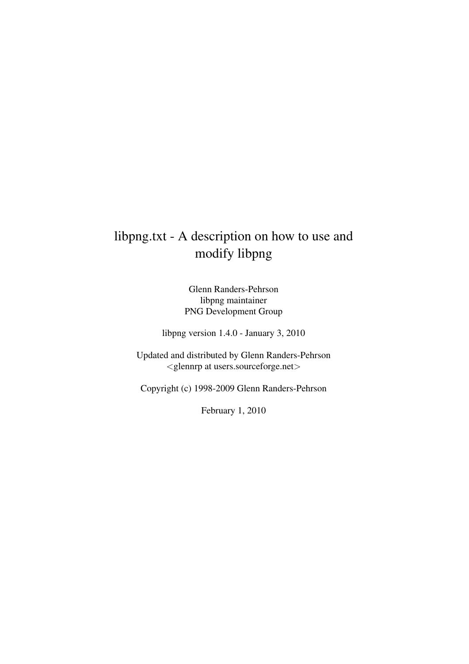## libpng.txt - A description on how to use and modify libpng

Glenn Randers-Pehrson libpng maintainer PNG Development Group

libpng version 1.4.0 - January 3, 2010

Updated and distributed by Glenn Randers-Pehrson *<*glennrp at users.sourceforge.net*>*

Copyright (c) 1998-2009 Glenn Randers-Pehrson

February 1, 2010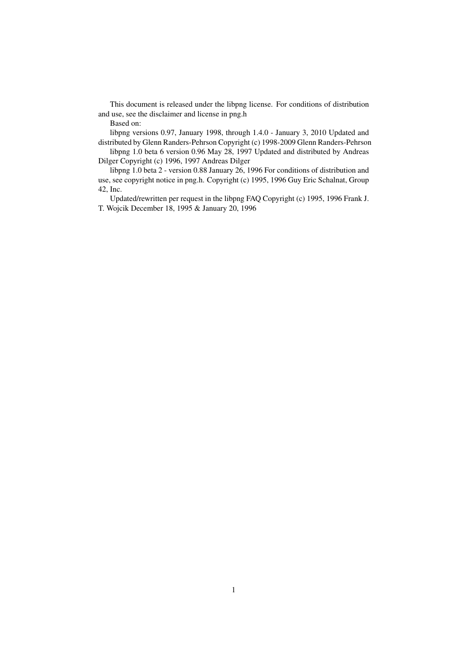This document is released under the libpng license. For conditions of distribution and use, see the disclaimer and license in png.h

Based on:

libpng versions 0.97, January 1998, through 1.4.0 - January 3, 2010 Updated and distributed by Glenn Randers-Pehrson Copyright (c) 1998-2009 Glenn Randers-Pehrson

libpng 1.0 beta 6 version 0.96 May 28, 1997 Updated and distributed by Andreas Dilger Copyright (c) 1996, 1997 Andreas Dilger

libpng 1.0 beta 2 - version 0.88 January 26, 1996 For conditions of distribution and use, see copyright notice in png.h. Copyright (c) 1995, 1996 Guy Eric Schalnat, Group 42, Inc.

Updated/rewritten per request in the libpng FAQ Copyright (c) 1995, 1996 Frank J. T. Wojcik December 18, 1995 & January 20, 1996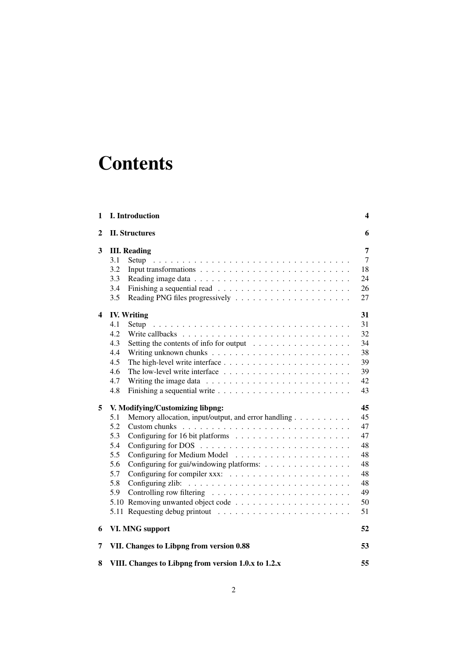# **Contents**

| 1              | I. Introduction                                                                                                                                                                                    |                                                                      |  |
|----------------|----------------------------------------------------------------------------------------------------------------------------------------------------------------------------------------------------|----------------------------------------------------------------------|--|
| $\overline{2}$ | <b>II. Structures</b>                                                                                                                                                                              | 6                                                                    |  |
| 3              | <b>III.</b> Reading<br>3.1<br>3.2<br>3.3<br>3.4<br>3.5                                                                                                                                             | 7<br>$\overline{7}$<br>18<br>24<br>26<br>27                          |  |
| 4              | <b>IV.</b> Writing<br>4.1<br>Setup<br>4.2<br>4.3<br>4.4<br>4.5<br>4.6<br>4.7<br>Writing the image data $\dots \dots \dots \dots \dots \dots \dots \dots \dots$<br>4.8                              | 31<br>31<br>32<br>34<br>38<br>39<br>39<br>42<br>43                   |  |
| 5              | V. Modifying/Customizing libpng:<br>Memory allocation, input/output, and error handling<br>5.1<br>5.2<br>5.3<br>5.4<br>5.5<br>5.6<br>Configuring for gui/windowing platforms:<br>5.7<br>5.8<br>5.9 | 45<br>45<br>47<br>47<br>48<br>48<br>48<br>48<br>48<br>49<br>50<br>51 |  |
| 6              | <b>VI. MNG support</b>                                                                                                                                                                             | 52                                                                   |  |
| 7              | VII. Changes to Libpng from version 0.88                                                                                                                                                           | 53                                                                   |  |
| 8              | VIII. Changes to Libpng from version 1.0.x to 1.2.x                                                                                                                                                | 55                                                                   |  |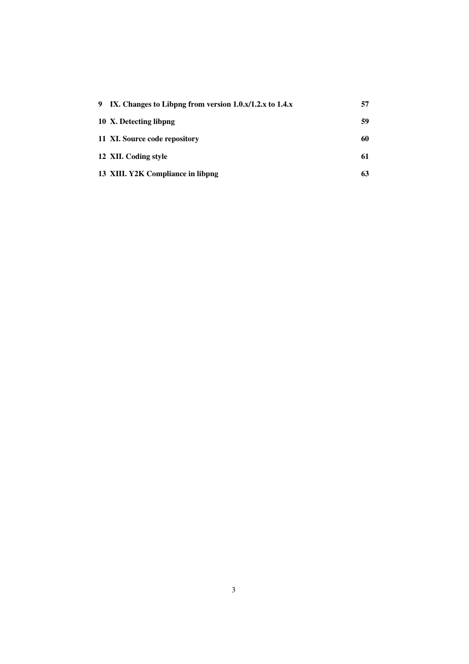| 9 | IX. Changes to Libpng from version $1.0 \times 1.2 \times 10^{-14}$ . | 57 |
|---|-----------------------------------------------------------------------|----|
|   | 10 X. Detecting libpng                                                | 59 |
|   | 11 XI. Source code repository                                         | 60 |
|   | 12 XII. Coding style                                                  | 61 |
|   | 13 XIII. Y2K Compliance in libpng                                     |    |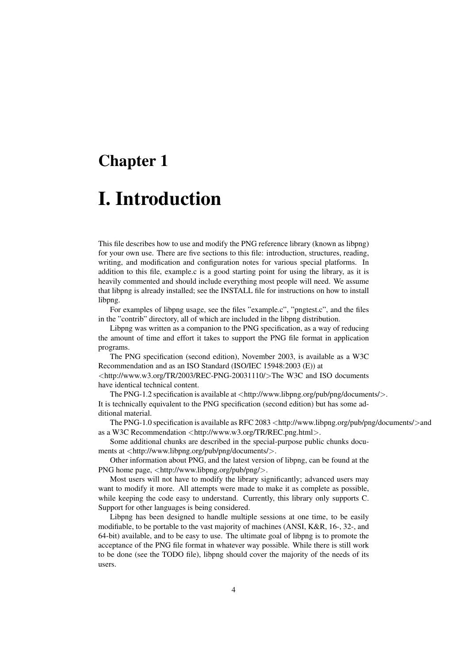## I. Introduction

This file describes how to use and modify the PNG reference library (known as libpng) for your own use. There are five sections to this file: introduction, structures, reading, writing, and modification and configuration notes for various special platforms. In addition to this file, example.c is a good starting point for using the library, as it is heavily commented and should include everything most people will need. We assume that libpng is already installed; see the INSTALL file for instructions on how to install libpng.

For examples of libpng usage, see the files "example.c", "pngtest.c", and the files in the "contrib" directory, all of which are included in the libpng distribution.

Libpng was written as a companion to the PNG specification, as a way of reducing the amount of time and effort it takes to support the PNG file format in application programs.

The PNG specification (second edition), November 2003, is available as a W3C Recommendation and as an ISO Standard (ISO/IEC 15948:2003 (E)) at

*<*http://www.w3.org/TR/2003/REC-PNG-20031110/*>*The W3C and ISO documents have identical technical content.

The PNG-1.2 specification is available at *<*http://www.libpng.org/pub/png/documents/*>*. It is technically equivalent to the PNG specification (second edition) but has some additional material.

The PNG-1.0 specification is available as RFC 2083 *<*http://www.libpng.org/pub/png/documents/*>*and as a W3C Recommendation *<*http://www.w3.org/TR/REC.png.html*>*.

Some additional chunks are described in the special-purpose public chunks documents at *<*http://www.libpng.org/pub/png/documents/*>*.

Other information about PNG, and the latest version of libpng, can be found at the PNG home page, *<*http://www.libpng.org/pub/png/*>*.

Most users will not have to modify the library significantly; advanced users may want to modify it more. All attempts were made to make it as complete as possible, while keeping the code easy to understand. Currently, this library only supports C. Support for other languages is being considered.

Libpng has been designed to handle multiple sessions at one time, to be easily modifiable, to be portable to the vast majority of machines (ANSI, K&R, 16-, 32-, and 64-bit) available, and to be easy to use. The ultimate goal of libpng is to promote the acceptance of the PNG file format in whatever way possible. While there is still work to be done (see the TODO file), libpng should cover the majority of the needs of its users.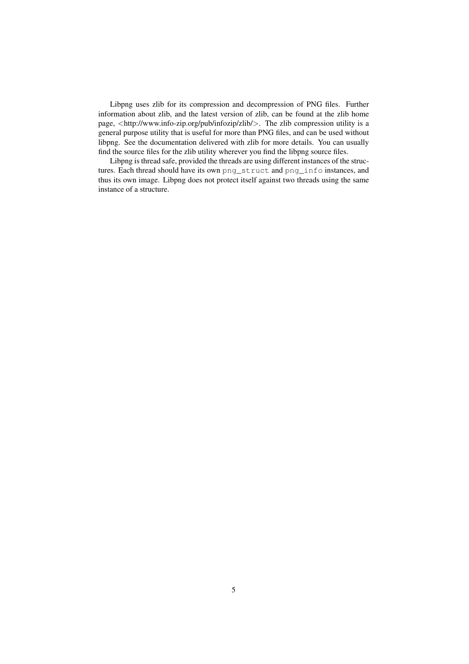Libpng uses zlib for its compression and decompression of PNG files. Further information about zlib, and the latest version of zlib, can be found at the zlib home page, *<*http://www.info-zip.org/pub/infozip/zlib/*>*. The zlib compression utility is a general purpose utility that is useful for more than PNG files, and can be used without libpng. See the documentation delivered with zlib for more details. You can usually find the source files for the zlib utility wherever you find the libpng source files.

Libpng is thread safe, provided the threads are using different instances of the structures. Each thread should have its own png\_struct and png\_info instances, and thus its own image. Libpng does not protect itself against two threads using the same instance of a structure.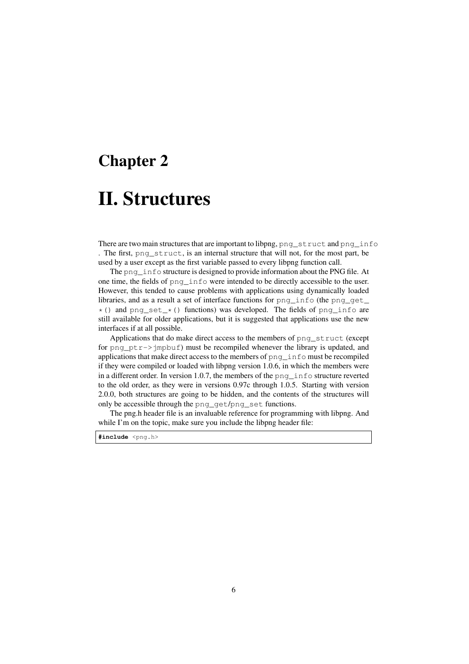## II. Structures

There are two main structures that are important to libpng, png\_struct and png\_info . The first, png\_struct, is an internal structure that will not, for the most part, be used by a user except as the first variable passed to every libpng function call.

The png\_info structure is designed to provide information about the PNG file. At one time, the fields of png\_info were intended to be directly accessible to the user. However, this tended to cause problems with applications using dynamically loaded libraries, and as a result a set of interface functions for png\_info (the png\_get\_  $*()$  and png set  $*()$  functions) was developed. The fields of png info are still available for older applications, but it is suggested that applications use the new interfaces if at all possible.

Applications that do make direct access to the members of png\_struct (except for png\_ptr->jmpbuf) must be recompiled whenever the library is updated, and applications that make direct access to the members of png\_info must be recompiled if they were compiled or loaded with libpng version 1.0.6, in which the members were in a different order. In version 1.0.7, the members of the png  $\pm$  info structure reverted to the old order, as they were in versions 0.97c through 1.0.5. Starting with version 2.0.0, both structures are going to be hidden, and the contents of the structures will only be accessible through the png\_get/png\_set functions.

The png.h header file is an invaluable reference for programming with libpng. And while I'm on the topic, make sure you include the libpng header file:

**#include** <png.h>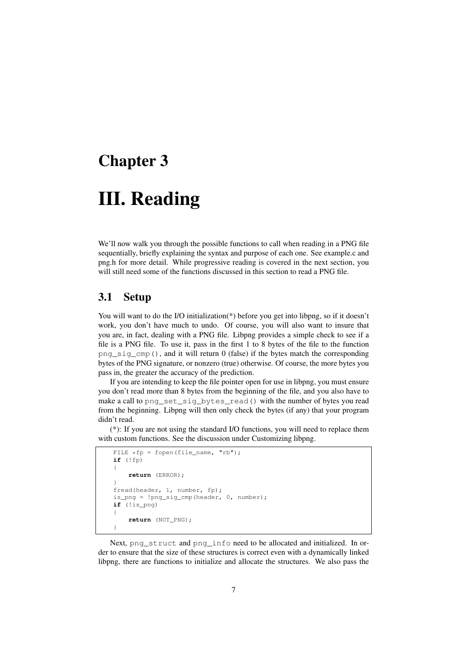## III. Reading

We'll now walk you through the possible functions to call when reading in a PNG file sequentially, briefly explaining the syntax and purpose of each one. See example.c and png.h for more detail. While progressive reading is covered in the next section, you will still need some of the functions discussed in this section to read a PNG file.

#### 3.1 Setup

You will want to do the I/O initialization<sup>(\*)</sup> before you get into libpng, so if it doesn't work, you don't have much to undo. Of course, you will also want to insure that you are, in fact, dealing with a PNG file. Libpng provides a simple check to see if a file is a PNG file. To use it, pass in the first 1 to 8 bytes of the file to the function png  $sigcmp()$ , and it will return 0 (false) if the bytes match the corresponding bytes of the PNG signature, or nonzero (true) otherwise. Of course, the more bytes you pass in, the greater the accuracy of the prediction.

If you are intending to keep the file pointer open for use in libpng, you must ensure you don't read more than 8 bytes from the beginning of the file, and you also have to make a call to png\_set\_sig\_bytes\_read() with the number of bytes you read from the beginning. Libpng will then only check the bytes (if any) that your program didn't read.

(\*): If you are not using the standard I/O functions, you will need to replace them with custom functions. See the discussion under Customizing libpng.

```
FILE *fp = fopen(file_name, "rb");if (!fp)
{
    return (ERROR);
}
fread(header, 1, number, fp);
is_png = !png_sig_cmp(header, 0, number);
if (!is_png)
{
    return (NOT_PNG);
}
```
Next, png\_struct and png\_info need to be allocated and initialized. In order to ensure that the size of these structures is correct even with a dynamically linked libpng, there are functions to initialize and allocate the structures. We also pass the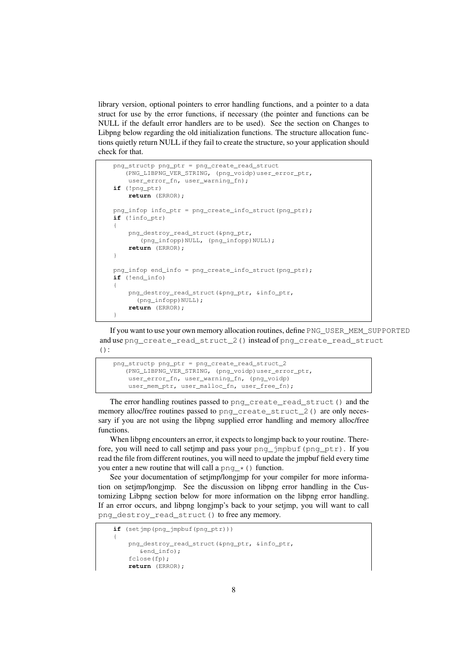library version, optional pointers to error handling functions, and a pointer to a data struct for use by the error functions, if necessary (the pointer and functions can be NULL if the default error handlers are to be used). See the section on Changes to Libpng below regarding the old initialization functions. The structure allocation functions quietly return NULL if they fail to create the structure, so your application should check for that.

```
png_structp png_ptr = png_create_read_struct
   (PNG_LIBPNG_VER_STRING, (png_voidp)user_error_ptr,
    user_error_fn, user_warning_fn);
if (!png_ptr)
   return (ERROR);
png_infop info_ptr = png_create_info_struct(png_ptr);
if (!info_ptr)
{
    png_destroy_read_struct(&png_ptr,
       (png_infopp)NULL, (png_infopp)NULL);
    return (ERROR);
}
png_infop end_info = png_create_info_struct(png_ptr);
if (!end_info)
{
    png_destroy_read_struct(&png_ptr, &info_ptr,
      (png_infopp)NULL);
    return (ERROR);
}
```
If you want to use your own memory allocation routines, define PNG\_USER\_MEM\_SUPPORTED and use png\_create\_read\_struct\_2() instead of png\_create\_read\_struct  $()$ :

```
png_structp png_ptr = png_create_read_struct_2
   (PNG_LIBPNG_VER_STRING, (png_voidp)user_error_ptr,
   user_error_fn, user_warning_fn, (png_voidp)
    user_mem_ptr, user_malloc_fn, user_free_fn);
```
The error handling routines passed to png\_create\_read\_struct() and the memory alloc/free routines passed to png\_create\_struct\_2() are only necessary if you are not using the libpng supplied error handling and memory alloc/free functions.

When libpng encounters an error, it expects to longjmp back to your routine. Therefore, you will need to call setjmp and pass your png\_jmpbuf(png\_ptr). If you read the file from different routines, you will need to update the jmpbuf field every time you enter a new routine that will call a png\_\*() function.

See your documentation of setjmp/longjmp for your compiler for more information on setjmp/longjmp. See the discussion on libpng error handling in the Customizing Libpng section below for more information on the libpng error handling. If an error occurs, and libpng longjmp's back to your setjmp, you will want to call png\_destroy\_read\_struct() to free any memory.

```
if (setjmp(png_jmpbuf(png_ptr)))
{
    png_destroy_read_struct(&png_ptr, &info_ptr,
       &end_info);
    fclose(fp);
    return (ERROR);
```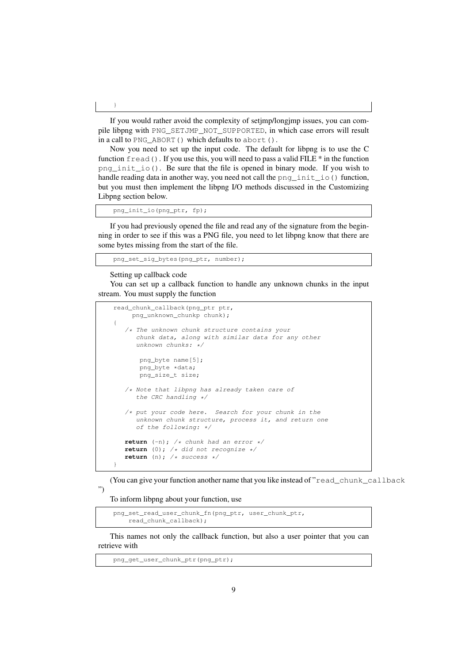If you would rather avoid the complexity of setjmp/longjmp issues, you can compile libpng with PNG\_SETJMP\_NOT\_SUPPORTED, in which case errors will result in a call to PNG\_ABORT() which defaults to abort().

Now you need to set up the input code. The default for libpng is to use the C function  $fread()$ . If you use this, you will need to pass a valid FILE  $*$  in the function png\_init\_io(). Be sure that the file is opened in binary mode. If you wish to handle reading data in another way, you need not call the png init io() function, but you must then implement the libpng I/O methods discussed in the Customizing Libpng section below.

```
png_init_io(png_ptr, fp);
```
If you had previously opened the file and read any of the signature from the beginning in order to see if this was a PNG file, you need to let libpng know that there are some bytes missing from the start of the file.

png\_set\_sig\_bytes(png\_ptr, number);

#### Setting up callback code

You can set up a callback function to handle any unknown chunks in the input stream. You must supply the function

```
read_chunk_callback(png_ptr ptr,
    png_unknown_chunkp chunk);
{
   /* The unknown chunk structure contains your
      chunk data, along with similar data for any other
      unknown chunks: */
      png_byte name[5];
      png_byte *data;
      png_size_t size;
   /* Note that libpng has already taken care of
      the CRC handling */
   /* put your code here. Search for your chunk in the
      unknown chunk structure, process it, and return one
      of the following: */
   return (-n); /* chunk had an error */
   return (0); /* did not recognize */
   return (n); /* success */
}
```
(You can give your function another name that you like instead of "read\_chunk\_callback ")

To inform libpng about your function, use

png\_set\_read\_user\_chunk\_fn(png\_ptr, user\_chunk\_ptr, read\_chunk\_callback);

This names not only the callback function, but also a user pointer that you can retrieve with

png\_get\_user\_chunk\_ptr(png\_ptr);

}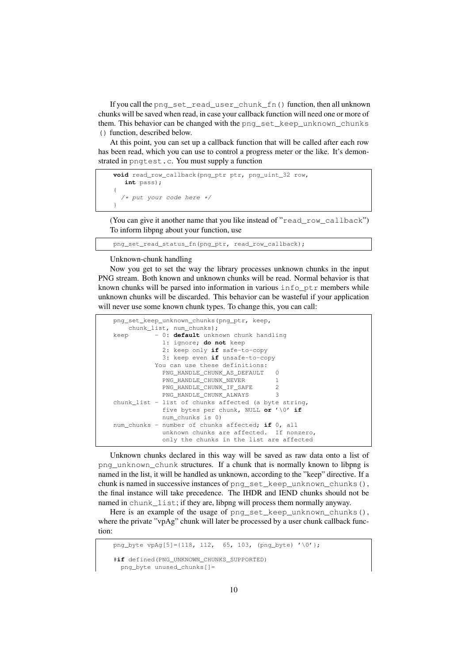If you call the png\_set\_read\_user\_chunk\_fn() function, then all unknown chunks will be saved when read, in case your callback function will need one or more of them. This behavior can be changed with the png\_set\_keep\_unknown\_chunks () function, described below.

At this point, you can set up a callback function that will be called after each row has been read, which you can use to control a progress meter or the like. It's demonstrated in pngtest.c. You must supply a function

```
void read_row_callback(png_ptr ptr, png_uint_32 row,
   int pass);
{
  /* put your code here */
}
```
(You can give it another name that you like instead of "read\_row\_callback") To inform libpng about your function, use

```
png_set_read_status_fn(png_ptr, read_row_callback);
```
Unknown-chunk handling

Now you get to set the way the library processes unknown chunks in the input PNG stream. Both known and unknown chunks will be read. Normal behavior is that known chunks will be parsed into information in various info\_ptr members while unknown chunks will be discarded. This behavior can be wasteful if your application will never use some known chunk types. To change this, you can call:

| png_set_keep_unknown_chunks(png_ptr, keep,           |  |
|------------------------------------------------------|--|
| chunk list, num chunks);                             |  |
| - 0: <b>default</b> unknown chunk handling<br>keep   |  |
| 1: ignore; do not keep                               |  |
| 2: keep only if safe-to-copy                         |  |
| 3: keep even if unsafe-to-copy                       |  |
| You can use these definitions:                       |  |
| PNG HANDLE CHUNK AS DEFAULT 0                        |  |
| PNG HANDLE CHUNK NEVER                               |  |
| PNG_HANDLE_CHUNK_IF_SAFE 2                           |  |
| 3<br>PNG HANDLE CHUNK ALWAYS                         |  |
| chunk_list - list of chunks affected (a byte string, |  |
| five bytes per chunk, NULL or $'\setminus 0'$ if     |  |
| num chunks is 0)                                     |  |
| num chunks - number of chunks affected; if 0, all    |  |
| unknown chunks are affected. If nonzero,             |  |
| only the chunks in the list are affected             |  |
|                                                      |  |

Unknown chunks declared in this way will be saved as raw data onto a list of png\_unknown\_chunk structures. If a chunk that is normally known to libpng is named in the list, it will be handled as unknown, according to the "keep" directive. If a chunk is named in successive instances of png\_set\_keep\_unknown\_chunks(), the final instance will take precedence. The IHDR and IEND chunks should not be named in chunk list; if they are, libpng will process them normally anyway.

Here is an example of the usage of png\_set\_keep\_unknown\_chunks(), where the private "vpAg" chunk will later be processed by a user chunk callback function:

```
png_byte vpAg[5]={118, 112, 65, 103, (png_byte) '\0'};
```

```
#if defined(PNG_UNKNOWN_CHUNKS_SUPPORTED)
```

```
png_byte unused_chunks[]=
```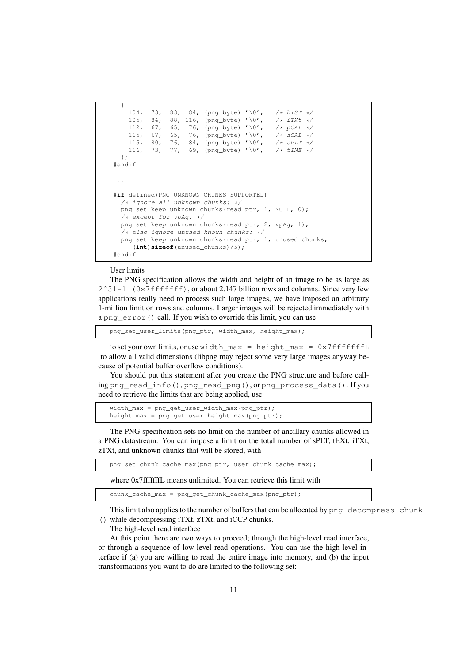```
{
   104, 73, 83, 84, (png_byte) '\0', /* hIST */
   105, 84, 88, 116, (png_byte) '\0', /* iTXt */
   112, 67, 65, 76, (png_byte) '\0', /* pCAL */
   115, 67, 65, 76, (png_byte) '\0', /* sCAL */
    115, 80, 76, 84, (png_byte) '\0', /* sPLT */
    116, 73, 77, 69, (png_byte) '\0', /* tIME */
 };
#endif
#if defined(PNG_UNKNOWN_CHUNKS_SUPPORTED)
 /* ignore all unknown chunks: */
 png_set_keep_unknown_chunks(read_ptr, 1, NULL, 0);
 /* except for vpAg: */
 png_set_keep_unknown_chunks(read_ptr, 2, vpAg, 1);
 /* also ignore unused known chunks: */
 png_set_keep_unknown_chunks(read_ptr, 1, unused_chunks,
     (int)sizeof(unused_chunks)/5);
#endif
```
#### User limits

The PNG specification allows the width and height of an image to be as large as 2<sup>o</sup>31-1 (0x7ffffffff), or about 2.147 billion rows and columns. Since very few applications really need to process such large images, we have imposed an arbitrary 1-million limit on rows and columns. Larger images will be rejected immediately with a png\_error() call. If you wish to override this limit, you can use

png\_set\_user\_limits(png\_ptr, width\_max, height\_max);

to set your own limits, or use width\_max = height\_max =  $0x7fffffff$ to allow all valid dimensions (libpng may reject some very large images anyway because of potential buffer overflow conditions).

You should put this statement after you create the PNG structure and before calling png read info(), png read png(), or png process  $data()$ . If you need to retrieve the limits that are being applied, use

```
width_max = png_get_user_width_max(png_ptr);
height_max = png_get_user_height_max(png_ptr);
```
The PNG specification sets no limit on the number of ancillary chunks allowed in a PNG datastream. You can impose a limit on the total number of sPLT, tEXt, iTXt, zTXt, and unknown chunks that will be stored, with

png\_set\_chunk\_cache\_max(png\_ptr, user\_chunk\_cache\_max);

where 0x7fffffffL means unlimited. You can retrieve this limit with

chunk\_cache\_max = png\_get\_chunk\_cache\_max(png\_ptr);

This limit also applies to the number of buffers that can be allocated by png\_decompress\_chunk () while decompressing iTXt, zTXt, and iCCP chunks.

The high-level read interface

At this point there are two ways to proceed; through the high-level read interface, or through a sequence of low-level read operations. You can use the high-level interface if (a) you are willing to read the entire image into memory, and (b) the input transformations you want to do are limited to the following set: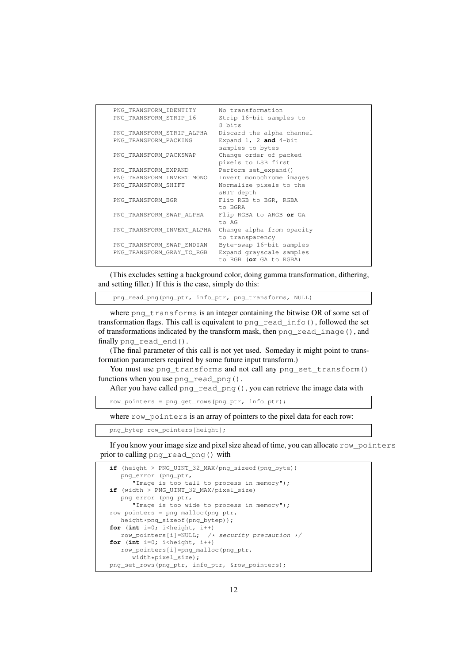```
PNG TRANSFORM IDENTITY No transformation
PNG_TRANSFORM_STRIP_16 Strip 16-bit samples to
                          8 bits
PNG_TRANSFORM_STRIP_ALPHA Discard the alpha channel
PNG_TRANSFORM_PACKING Expand 1, 2 and 4-bit
                          samples to bytes
PNG_TRANSFORM_PACKSWAP Change order of packed
                          pixels to LSB first
PNG_TRANSFORM_EXPAND Perform set expand()
PNG_TRANSFORM_INVERT_MONO Invert monochrome images
PNG_TRANSFORM_SHIFT Normalize pixels to the
                          sBIT depth
PNG_TRANSFORM_BGR = Flip RGB to BGR, RGBA
                          to BGRA
PNG_TRANSFORM_SWAP_ALPHA Flip RGBA to ARGB or GA
                          to AG
PNG_TRANSFORM_INVERT_ALPHA Change alpha from opacity
                          to transparency
PNG_TRANSFORM_SWAP_ENDIAN Byte-swap 16-bit samples
PNG_TRANSFORM_GRAY_TO_RGB Expand grayscale samples
                          to RGB (or GA to RGBA)
```
(This excludes setting a background color, doing gamma transformation, dithering, and setting filler.) If this is the case, simply do this:

png\_read\_png(png\_ptr, info\_ptr, png\_transforms, NULL)

where png\_transforms is an integer containing the bitwise OR of some set of transformation flags. This call is equivalent to png\_read\_info(), followed the set of transformations indicated by the transform mask, then png\_read\_image(), and finally png\_read\_end().

(The final parameter of this call is not yet used. Someday it might point to transformation parameters required by some future input transform.)

You must use png\_transforms and not call any png\_set\_transform() functions when you use png\_read\_png().

After you have called png\_read\_png(), you can retrieve the image data with

row\_pointers = png\_get\_rows(png\_ptr, info\_ptr);

where  $row\_points$  is an array of pointers to the pixel data for each row:

png\_bytep\_row\_pointers[height];

If you know your image size and pixel size ahead of time, you can allocate row\_pointers prior to calling png\_read\_png() with

```
if (height > PNG_UINT_32_MAX/png_sizeof(png_byte))
   png_error (png_ptr,
      "Image is too tall to process in memory");
if (width > PNG_UINT_32_MAX/pixel_size)
   png_error (png_ptr,
      "Image is too wide to process in memory");
row_pointers = png_malloc(png_ptr,
  height*png_sizeof(png_bytep));
for (int i=0; i<height, i++)
   row_pointers[i]=NULL; /* security precaution */
for (int i=0; i<height, i++)row_pointers[i]=png_malloc(png_ptr,
      width*pixel_size);
png_set_rows(png_ptr, info_ptr, &row_pointers);
```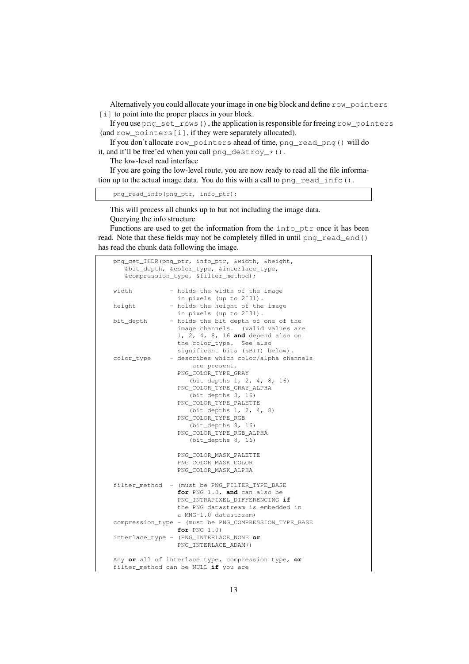Alternatively you could allocate your image in one big block and define row\_pointers [i] to point into the proper places in your block.

If you use png\_set\_rows(), the application is responsible for freeing row\_pointers (and row\_pointers[i], if they were separately allocated).

If you don't allocate row\_pointers ahead of time, png\_read\_png() will do it, and it'll be free'ed when you call png\_destroy\_\*().

The low-level read interface

If you are going the low-level route, you are now ready to read all the file information up to the actual image data. You do this with a call to png\_read\_info().

```
png_read_info(png_ptr, info_ptr);
```
This will process all chunks up to but not including the image data. Querying the info structure

Functions are used to get the information from the info\_ptr once it has been read. Note that these fields may not be completely filled in until png\_read\_end() has read the chunk data following the image.

```
png_get_IHDR(png_ptr, info_ptr, &width, &height,
   &bit_depth, &color_type, &interlace_type,
   &compression_type, &filter_method);
width - holds the width of the image
                in pixels (up to 2ˆ31).
height - holds the height of the image
                in pixels (up to 2ˆ31).
bit_depth - holds the bit depth of one of the
                image channels. (valid values are
                1, 2, 4, 8, 16 and depend also on
                the color_type. See also
                significant bits (sBIT) below).
color_type - describes which color/alpha channels
                   are present.
                PNG_COLOR_TYPE_GRAY
                   (bit depths 1, 2, 4, 8, 16)
                PNG_COLOR_TYPE_GRAY_ALPHA
                    (bit depths 8, 16)
                PNG_COLOR_TYPE_PALETTE
                   (bit depths 1, 2, 4, 8)
                PNG_COLOR_TYPE_RGB
                   (bit_depths 8, 16)
                PNG_COLOR_TYPE_RGB_ALPHA
                    (bit_depths 8, 16)
                PNG_COLOR_MASK_PALETTE
                PNG_COLOR_MASK_COLOR
                PNG_COLOR_MASK_ALPHA
filter_method - (must be PNG_FILTER_TYPE_BASE
                for PNG 1.0, and can also be
                PNG_INTRAPIXEL_DIFFERENCING if
                the PNG datastream is embedded in
                a MNG-1.0 datastream)
compression_type - (must be PNG_COMPRESSION_TYPE_BASE
                for PNG 1.0)
interlace_type - (PNG_INTERLACE_NONE or
                PNG_INTERLACE_ADAM7)
Any or all of interlace_type, compression_type, or
filter_method can be NULL if you are
```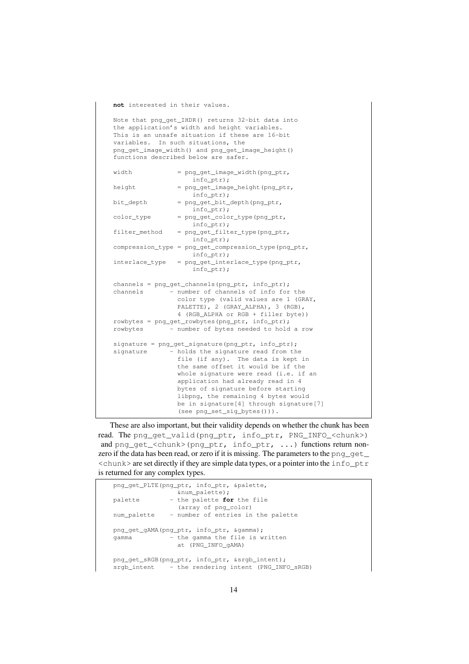**not** interested in their values.

```
Note that png_get_IHDR() returns 32-bit data into
the application's width and height variables.
This is an unsafe situation if these are 16-bit
variables. In such situations, the
png_get_image_width() and png_get_image_height()
functions described below are safer.
width = png_get_image_width(png_ptr,
                   info_ptr);
height = png_get_image_height(png_ptr,
                    info_ptr);
bit\_depth = pnq\_get\_bit\_depth(pnq\_ptr,info_ptr);
color_type = pq_qet\_color_type (pnq_ptr,info_ptr);
filter_method = png_get_filter_type(png_ptr,
                    info_ptr);
compression_type = png_get_compression_type(png_ptr,
                   info_ptr);
interlace_type = png_get_interlace_type(png_ptr,
                    info_ptr);
channels = png_get_channels(png_ptr, info_ptr);
channels - number of channels of info for the
                color type (valid values are 1 (GRAY,
                PALETTE), 2 (GRAY_ALPHA), 3 (RGB),
                4 (RGB_ALPHA or RGB + filler byte))
rowbytes = png_get_rowbytes(png_ptr, info_ptr);
rowbytes - number of bytes needed to hold a row
signature = png_get_signature(png_ptr, info_ptr);
signature - holds the signature read from the
                file (if any). The data is kept in
                the same offset it would be if the
                whole signature were read (i.e. if an
                application had already read in 4
                bytes of signature before starting
                libpng, the remaining 4 bytes would
                be in signature[4] through signature[7]
                (see png_set_sig_bytes())).
```
These are also important, but their validity depends on whether the chunk has been read. The png\_get\_valid(png\_ptr, info\_ptr, PNG\_INFO\_<chunk>) and png\_get\_<chunk>(png\_ptr, info\_ptr, ...) functions return nonzero if the data has been read, or zero if it is missing. The parameters to the png\_get\_ <chunk> are set directly if they are simple data types, or a pointer into the info\_ptr is returned for any complex types.

```
png_get_PLTE(png_ptr, info_ptr, &palette,
                &num_palette);
palette - the palette for the file
               (array of png_color)
num_palette - number of entries in the palette
png_get_gAMA(png_ptr, info_ptr, &gamma);
gamma - the gamma the file is written
               at (PNG_INFO_gAMA)
png_get_sRGB(png_ptr, info_ptr, &srgb_intent);
srgb_intent - the rendering intent (PNG_INFO_sRGB)
```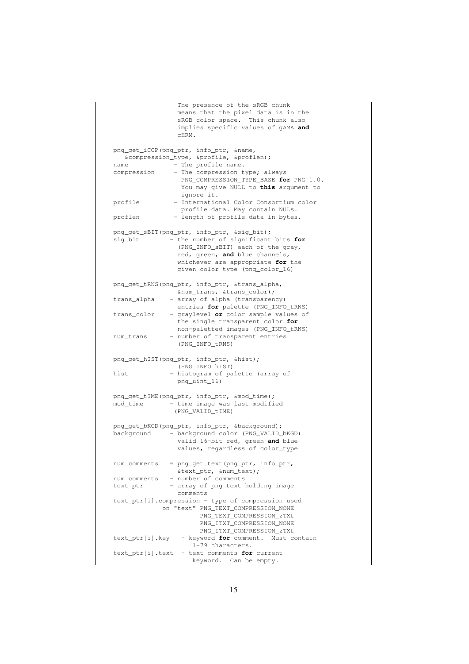The presence of the sRGB chunk means that the pixel data is in the sRGB color space. This chunk also implies specific values of gAMA **and** cHRM. png\_get\_iCCP(png\_ptr, info\_ptr, &name, &compression\_type, &profile, &proflen); name - The profile name. compression - The compression type; always PNG\_COMPRESSION\_TYPE\_BASE **for** PNG 1.0. You may give NULL to **this** argument to ignore it. profile - International Color Consortium color profile data. May contain NULs. proflen - length of profile data in bytes. png\_get\_sBIT(png\_ptr, info\_ptr, &sig\_bit);<br>sig bit - the number of significant - the number of significant bits for (PNG\_INFO\_sBIT) each of the gray, red, green, **and** blue channels, whichever are appropriate **for** the given color type (png\_color\_16) png\_get\_tRNS(png\_ptr, info\_ptr, &trans\_alpha, &num\_trans, &trans\_color); trans alpha  $-$  array of alpha (transparency) entries **for** palette (PNG\_INFO\_tRNS) trans\_color - graylevel **or** color sample values of the single transparent color **for** non-paletted images (PNG\_INFO\_tRNS) num\_trans - number of transparent entries (PNG\_INFO\_tRNS) png\_get\_hIST(png\_ptr, info\_ptr, &hist); (PNG\_INFO\_hIST) hist - histogram of palette (array of png\_uint\_16) png\_get\_tIME(png\_ptr, info\_ptr, &mod\_time); - time image was last modified (PNG\_VALID\_tIME) png\_get\_bKGD(png\_ptr, info\_ptr, &background); background - background color (PNG\_VALID\_bKGD) valid 16-bit red, green **and** blue values, regardless of color\_type num\_comments = png\_get\_text(png\_ptr, info\_ptr, &text\_ptr, &num\_text); num\_comments - number of comments text\_ptr - array of png\_text holding image comments text\_ptr[i].compression - type of compression used on "text" PNG\_TEXT\_COMPRESSION\_NONE PNG\_TEXT\_COMPRESSION\_zTXt PNG\_ITXT\_COMPRESSION\_NONE PNG\_ITXT\_COMPRESSION\_zTXt text\_ptr[i].key - keyword **for** comment. Must contain 1-79 characters. text\_ptr[i].text - text comments **for** current keyword. Can be empty.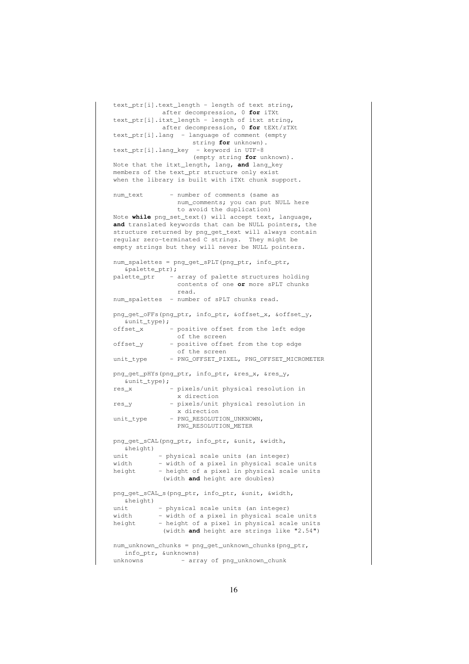```
text_ptr[i].text_length - length of text string,
            after decompression, 0 for iTXt
text ptr[i].itxt length - length of itxt string,
             after decompression, 0 for tEXt/zTXt
text_ptr[i].lang - language of comment (empty
                    string for unknown).
text_ptr[i].lang_key - keyword in UTF-8
                    (empty string for unknown).
Note that the itxt_length, lang, and lang_key
members of the text_ptr structure only exist
when the library is built with iTXt chunk support.
num_text - number of comments (same as
                num_comments; you can put NULL here
                 to avoid the duplication)
Note while png_set_text() will accept text, language,
and translated keywords that can be NULL pointers, the
structure returned by png_get_text will always contain
regular zero-terminated C strings. They might be
empty strings but they will never be NULL pointers.
num_spalettes = png_get_sPLT(png_ptr, info_ptr,
   &palette_ptr);
palette_ptr - array of palette structures holding
                contents of one or more sPLT chunks
                 read.
num spalettes - number of sPLT chunks read.
png_get_oFFs(png_ptr, info_ptr, &offset_x, &offset_y,
  &unit_type);
offset_x - positive offset from the left edge
                 of the screen
offset_y - positive offset from the top edge
                of the screen
unit_type - PNG_OFFSET_PIXEL, PNG_OFFSET_MICROMETER
png_get_pHYs(png_ptr, info_ptr, &res_x, &res_y,
  &unit_type);
res_x - pixels/unit physical resolution in
                x direction
res_y - pixels/unit physical resolution in
                x direction
unit_type - PNG_RESOLUTION_UNKNOWN,
                PNG_RESOLUTION_METER
png_get_sCAL(png_ptr, info_ptr, &unit, &width,
  &height)
unit - physical scale units (an integer)
width - width of a pixel in physical scale units
height - height of a pixel in physical scale units
             (width and height are doubles)
png_get_sCAL_s(png_ptr, info_ptr, &unit, &width,
  &height)
unit - physical scale units (an integer)<br>width - width of a pixel in physical scal
width - width of a pixel in physical scale units<br>height - height of a pixel in physical scale units
            - height of a pixel in physical scale units
             (width and height are strings like "2.54")
num_unknown_chunks = png_get_unknown_chunks(png_ptr,
   info_ptr, &unknowns)
unknowns - array of png unknown chunk
```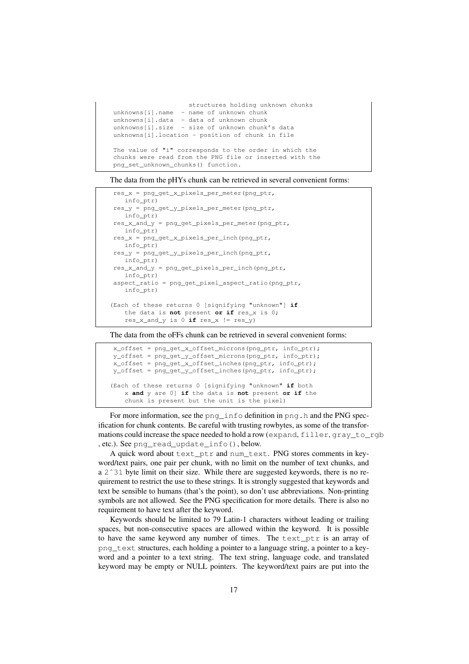```
structures holding unknown chunks
unknowns[i].name - name of unknown chunk
unknowns[i].data - data of unknown chunk
unknowns[i].size - size of unknown chunk's data
unknowns[i].location - position of chunk in file
The value of "i" corresponds to the order in which the
chunks were read from the PNG file or inserted with the
png_set_unknown_chunks() function.
```
The data from the pHYs chunk can be retrieved in several convenient forms:

```
res_x = png_get_x_pixels_per_meter(png_ptr,
   info_ptr)
res_y = png_get_y_pixels_per_meter(png_ptr,
  info_ptr)
res_x_and_y = png_get_pixels_per_meter(png_ptr,
   info_ptr)
res_x = png_get_x_pixels_per_inch(png_ptr,
   info_ptr)
res_y = png_get_y_pixels_per_inch(png_ptr,
   info_ptr)
res_x_and_y = png_get_pixels_per_inch(png_ptr,
   info_ptr)
aspect\_ratio = pq_qet\_pixel\_aspect\_ratio(pnq_ptr,info_ptr)
(Each of these returns 0 [signifying "unknown"] if
   the data is not present or if res_x is 0;
   res_x_and_y is 0 if res_x != res_y)
```
The data from the oFFs chunk can be retrieved in several convenient forms:

```
x_offset = png_get_x_offset_microns(png_ptr, info_ptr);
y_offset = png_get_y_offset_microns(png_ptr, info_ptr);
x_offset = png_get_x_offset_inches(png_ptr, info_ptr);
y_offset = png_get_y_offset_inches(png_ptr, info_ptr);
(Each of these returns 0 [signifying "unknown" if both
   x and y are 0] if the data is not present or if the
   chunk is present but the unit is the pixel)
```
For more information, see the png\_info definition in png.h and the PNG specification for chunk contents. Be careful with trusting rowbytes, as some of the transformations could increase the space needed to hold a row (expand, filler, gray\_to\_rgb , etc.). See png\_read\_update\_info(), below.

A quick word about text\_ptr and num\_text. PNG stores comments in keyword/text pairs, one pair per chunk, with no limit on the number of text chunks, and a 2ˆ31 byte limit on their size. While there are suggested keywords, there is no requirement to restrict the use to these strings. It is strongly suggested that keywords and text be sensible to humans (that's the point), so don't use abbreviations. Non-printing symbols are not allowed. See the PNG specification for more details. There is also no requirement to have text after the keyword.

Keywords should be limited to 79 Latin-1 characters without leading or trailing spaces, but non-consecutive spaces are allowed within the keyword. It is possible to have the same keyword any number of times. The text\_ptr is an array of png\_text structures, each holding a pointer to a language string, a pointer to a keyword and a pointer to a text string. The text string, language code, and translated keyword may be empty or NULL pointers. The keyword/text pairs are put into the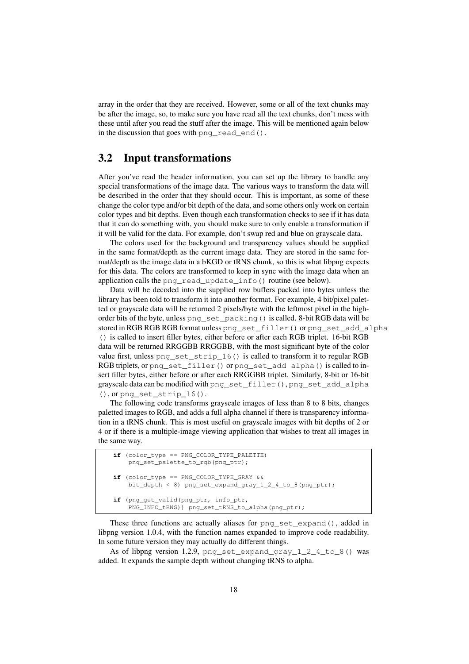array in the order that they are received. However, some or all of the text chunks may be after the image, so, to make sure you have read all the text chunks, don't mess with these until after you read the stuff after the image. This will be mentioned again below in the discussion that goes with png\_read\_end().

#### 3.2 Input transformations

After you've read the header information, you can set up the library to handle any special transformations of the image data. The various ways to transform the data will be described in the order that they should occur. This is important, as some of these change the color type and/or bit depth of the data, and some others only work on certain color types and bit depths. Even though each transformation checks to see if it has data that it can do something with, you should make sure to only enable a transformation if it will be valid for the data. For example, don't swap red and blue on grayscale data.

The colors used for the background and transparency values should be supplied in the same format/depth as the current image data. They are stored in the same format/depth as the image data in a bKGD or tRNS chunk, so this is what libpng expects for this data. The colors are transformed to keep in sync with the image data when an application calls the png\_read\_update\_info() routine (see below).

Data will be decoded into the supplied row buffers packed into bytes unless the library has been told to transform it into another format. For example, 4 bit/pixel paletted or grayscale data will be returned 2 pixels/byte with the leftmost pixel in the highorder bits of the byte, unless png\_set\_packing() is called. 8-bit RGB data will be stored in RGB RGB RGB format unless png\_set\_filler() or png\_set\_add\_alpha () is called to insert filler bytes, either before or after each RGB triplet. 16-bit RGB data will be returned RRGGBB RRGGBB, with the most significant byte of the color value first, unless png\_set\_strip\_16() is called to transform it to regular RGB RGB triplets, or png\_set\_filler() or png\_set\_add alpha() is called to insert filler bytes, either before or after each RRGGBB triplet. Similarly, 8-bit or 16-bit grayscale data can be modified with png\_set\_filler(), png\_set\_add\_alpha  $($ ), or png set strip  $16()$ .

The following code transforms grayscale images of less than 8 to 8 bits, changes paletted images to RGB, and adds a full alpha channel if there is transparency information in a tRNS chunk. This is most useful on grayscale images with bit depths of 2 or 4 or if there is a multiple-image viewing application that wishes to treat all images in the same way.

```
if (color_type == PNG_COLOR_TYPE_PALETTE)
    png_set_palette_to_rgb(png_ptr);
if (color_type == PNG_COLOR_TYPE_GRAY &&
    bit_depth < 8) png_set_expand_gray_1_2_4_to_8(png_ptr);
if (png_get_valid(png_ptr, info_ptr,
    PNG_INFO_tRNS)) png_set_tRNS_to_alpha(png_ptr);
```
These three functions are actually aliases for png\_set\_expand(), added in libpng version 1.0.4, with the function names expanded to improve code readability. In some future version they may actually do different things.

As of libpng version 1.2.9, png\_set\_expand\_gray\_1\_2\_4\_to\_8() was added. It expands the sample depth without changing tRNS to alpha.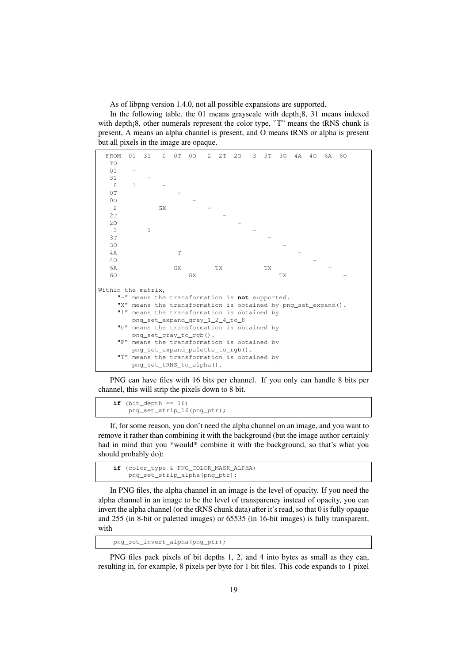As of libpng version 1.4.0, not all possible expansions are supported.

In the following table, the 01 means grayscale with depth;8, 31 means indexed with depth<sub>1</sub>8, other numerals represent the color type, "T" means the tRNS chunk is present, A means an alpha channel is present, and O means tRNS or alpha is present but all pixels in the image are opaque.

FROM 01 31 0 0T 0O 2 2T 2O 3 3T 3O 4A 4O 6A 6O TO  $01$  $\begin{bmatrix} 31 \\ 0 \end{bmatrix}$  $\begin{matrix} 0 & 1 \end{matrix}$ 0T – 0O - 2 GX –  $2T$  - $20$  $3 \qquad \qquad 1 \qquad \qquad 3T$  - $30$  - $4A$  T 4O - 6A GX TX TX -6O GX TX - Within the matrix, "-" means the transformation is **not** supported. "X" means the transformation is obtained by png\_set\_expand(). "1" means the transformation is obtained by png\_set\_expand\_gray\_1\_2\_4\_to\_8 "G" means the transformation is obtained by png\_set\_gray\_to\_rgb(). "P" means the transformation is obtained by png\_set\_expand\_palette\_to\_rgb(). "T" means the transformation is obtained by png\_set\_tRNS\_to\_alpha().

PNG can have files with 16 bits per channel. If you only can handle 8 bits per channel, this will strip the pixels down to 8 bit.

```
if (bit depth == 16)
    png_set_strip_16(png_ptr);
```
If, for some reason, you don't need the alpha channel on an image, and you want to remove it rather than combining it with the background (but the image author certainly had in mind that you \*would\* combine it with the background, so that's what you should probably do):

**if** (color\_type & PNG\_COLOR\_MASK\_ALPHA) png\_set\_strip\_alpha(png\_ptr);

In PNG files, the alpha channel in an image is the level of opacity. If you need the alpha channel in an image to be the level of transparency instead of opacity, you can invert the alpha channel (or the tRNS chunk data) after it's read, so that 0 is fully opaque and 255 (in 8-bit or paletted images) or 65535 (in 16-bit images) is fully transparent, with

png\_set\_invert\_alpha(png\_ptr);

PNG files pack pixels of bit depths 1, 2, and 4 into bytes as small as they can, resulting in, for example, 8 pixels per byte for 1 bit files. This code expands to 1 pixel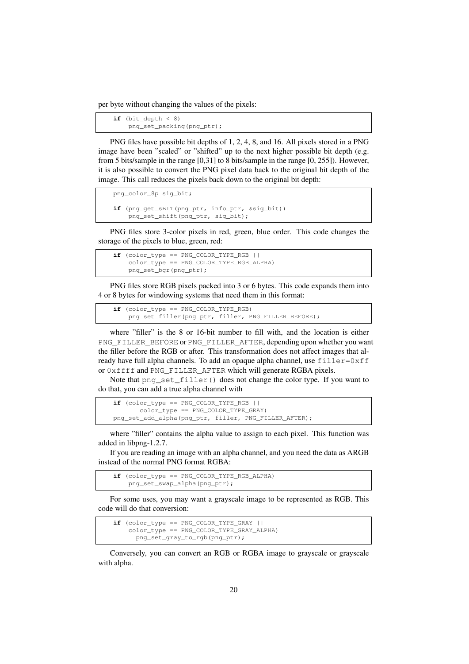per byte without changing the values of the pixels:

```
if (bit depth \leq 8)
    png_set_packing(png_ptr);
```
PNG files have possible bit depths of 1, 2, 4, 8, and 16. All pixels stored in a PNG image have been "scaled" or "shifted" up to the next higher possible bit depth (e.g. from 5 bits/sample in the range [0,31] to 8 bits/sample in the range [0, 255]). However, it is also possible to convert the PNG pixel data back to the original bit depth of the image. This call reduces the pixels back down to the original bit depth:

```
png_color_8p sig_bit;
if (png_get_sBIT(png_ptr, info_ptr, &sig_bit))
    png_set_shift(png_ptr, sig_bit);
```
PNG files store 3-color pixels in red, green, blue order. This code changes the storage of the pixels to blue, green, red:

```
if (color_type == PNG_COLOR_TYPE_RGB ||
    color_type == PNG_COLOR_TYPE_RGB_ALPHA)
    png_set_bgr(png_ptr);
```
PNG files store RGB pixels packed into 3 or 6 bytes. This code expands them into 4 or 8 bytes for windowing systems that need them in this format:

```
if (color_type == PNG_COLOR_TYPE_RGB)
   png_set_filler(png_ptr,_filler, PNG_FILLER_BEFORE);
```
where "filler" is the 8 or 16-bit number to fill with, and the location is either PNG\_FILLER\_BEFORE or PNG\_FILLER\_AFTER, depending upon whether you want the filler before the RGB or after. This transformation does not affect images that already have full alpha channels. To add an opaque alpha channel, use  $filter=0xff$ or 0xffff and PNG\_FILLER\_AFTER which will generate RGBA pixels.

Note that png\_set\_filler() does not change the color type. If you want to do that, you can add a true alpha channel with

```
if (color type == PNG COLOR TYPE RGB ||
       color_type == PNG_COLOR_TYPE_GRAY)
png_set_add_alpha(png_ptr, filler, PNG_FILLER_AFTER);
```
where "filler" contains the alpha value to assign to each pixel. This function was added in libpng-1.2.7.

If you are reading an image with an alpha channel, and you need the data as ARGB instead of the normal PNG format RGBA:

```
if (color_type == PNG_COLOR_TYPE_RGB_ALPHA)
    png_set_swap_alpha(png_ptr);
```
For some uses, you may want a grayscale image to be represented as RGB. This code will do that conversion:

```
if (color_type == PNG_COLOR_TYPE_GRAY ||
    color_type == PNG_COLOR_TYPE_GRAY_ALPHA)
     png_set_gray_to_rgb(png_ptr);
```
Conversely, you can convert an RGB or RGBA image to grayscale or grayscale with alpha.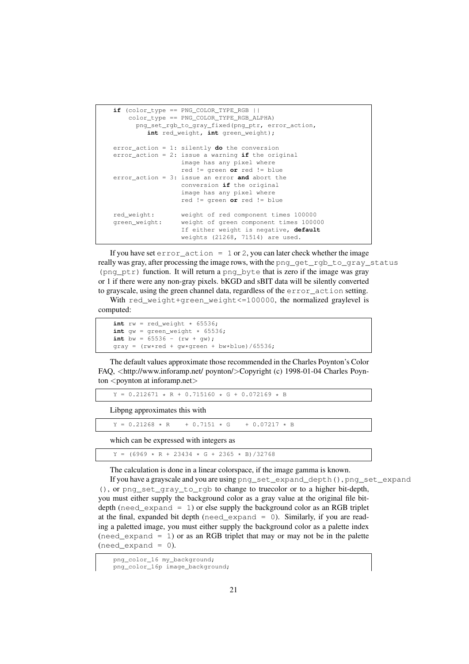```
if (color_type == PNG_COLOR_TYPE_RGB ||
    color_type == PNG_COLOR_TYPE_RGB_ALPHA)
     png_set_rgb_to_gray_fixed(png_ptr, error_action,
         int red_weight, int green_weight);
error_action = 1: silently do the conversion
error_action = 2: issue a warning if the original
                 image has any pixel where
                 red != green or red != blue
error_action = 3: issue an error and abort the
                  conversion if the original
                 image has any pixel where
                 red != green or red != blue
red_weight: weight of red component times 100000
green_weight: weight of green component times 100000
                  If either weight is negative, default
                  weights (21268, 71514) are used.
```
If you have set  $error\_action = 1$  or 2, you can later check whether the image really was gray, after processing the image rows, with the png\_get\_rgb\_to\_gray\_status (png\_ptr) function. It will return a png\_byte that is zero if the image was gray or 1 if there were any non-gray pixels. bKGD and sBIT data will be silently converted to grayscale, using the green channel data, regardless of the error\_action setting.

With red\_weight+green\_weight<=100000, the normalized graylevel is computed:

```
int rw = red weight * 65536;
int gw = green_weight * 65536;
int bw = 65536 - (rw + gw);qray = (rw*red + qw*qreen + bw*blue)/65536;
```
The default values approximate those recommended in the Charles Poynton's Color FAQ, *<*http://www.inforamp.net/ poynton/*>*Copyright (c) 1998-01-04 Charles Poynton *<*poynton at inforamp.net*>*

 $Y = 0.212671 \times R + 0.715160 \times G + 0.072169 \times B$ 

Libpng approximates this with

 $Y = 0.21268 + R + 0.7151 + G + 0.07217 + B$ 

which can be expressed with integers as

 $Y = (6969 \times R + 23434 \times G + 2365 \times B)/32768$ 

The calculation is done in a linear colorspace, if the image gamma is known.

If you have a grayscale and you are using png\_set\_expand\_depth(), png\_set\_expand (), or png set gray to rgb to change to truecolor or to a higher bit-depth, you must either supply the background color as a gray value at the original file bitdepth (need\_expand = 1) or else supply the background color as an RGB triplet at the final, expanded bit depth (need\_expand =  $0$ ). Similarly, if you are reading a paletted image, you must either supply the background color as a palette index (need\_expand = 1) or as an RGB triplet that may or may not be in the palette  $(need\_expand = 0)$ .

```
png_color_16 my_background;
png_color_16p image_background:
```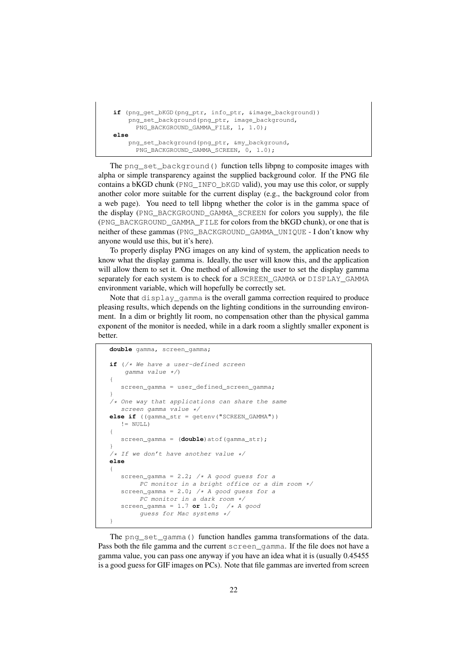```
if (png_get_bKGD(png_ptr, info_ptr, &image_background))
    png_set_background(png_ptr, image_background,
      PNG_BACKGROUND_GAMMA_FILE, 1, 1.0);
else
    png_set_background(png_ptr, &my_background,
      PNG_BACKGROUND_GAMMA_SCREEN, 0, 1.0);
```
The png\_set\_background() function tells libpng to composite images with alpha or simple transparency against the supplied background color. If the PNG file contains a bKGD chunk (PNG\_INFO\_bKGD valid), you may use this color, or supply another color more suitable for the current display (e.g., the background color from a web page). You need to tell libpng whether the color is in the gamma space of the display (PNG\_BACKGROUND\_GAMMA\_SCREEN for colors you supply), the file (PNG\_BACKGROUND\_GAMMA\_FILE for colors from the bKGD chunk), or one that is neither of these gammas (PNG\_BACKGROUND\_GAMMA\_UNIQUE - I don't know why anyone would use this, but it's here).

To properly display PNG images on any kind of system, the application needs to know what the display gamma is. Ideally, the user will know this, and the application will allow them to set it. One method of allowing the user to set the display gamma separately for each system is to check for a SCREEN\_GAMMA or DISPLAY\_GAMMA environment variable, which will hopefully be correctly set.

Note that display\_gamma is the overall gamma correction required to produce pleasing results, which depends on the lighting conditions in the surrounding environment. In a dim or brightly lit room, no compensation other than the physical gamma exponent of the monitor is needed, while in a dark room a slightly smaller exponent is better.

```
double gamma, screen_gamma;
if (/* We have a user-defined screen
    gamma value */)
{
   screen_gamma = user_defined_screen_gamma;
}
/* One way that applications can share the same
   screen gamma value */
else if ((gamma_str = getenv("SCREEN_GAMMA"))
   I = NIII.I.{
   screen_gamma = (double)atof(gamma_str);
}
/* If we don't have another value */
else
{
   screen gamma = 2.2; /* A good guess for a
        PC monitor in a bright office or a dim room */
   screen_gamma = 2.0; /* A good guess for a
       PC monitor in a dark room */
   screen_gamma = 1.7 or 1.0; /* A good
        guess for Mac systems */
}
```
The png set gamma() function handles gamma transformations of the data. Pass both the file gamma and the current screen\_gamma. If the file does not have a gamma value, you can pass one anyway if you have an idea what it is (usually 0.45455 is a good guess for GIF images on PCs). Note that file gammas are inverted from screen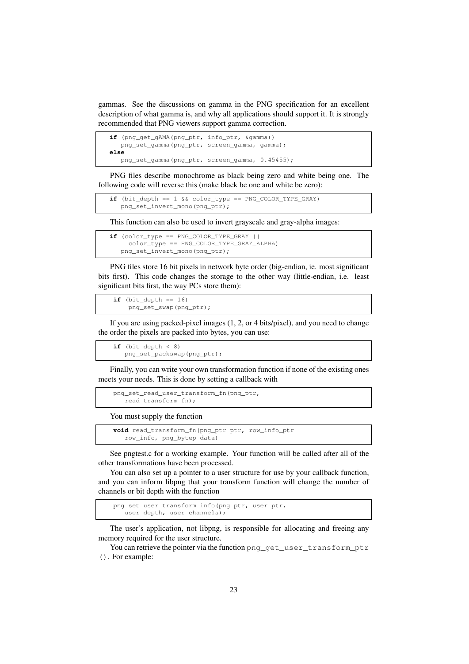gammas. See the discussions on gamma in the PNG specification for an excellent description of what gamma is, and why all applications should support it. It is strongly recommended that PNG viewers support gamma correction.

```
if (png_get_gAMA(png_ptr, info_ptr, &gamma))
   png_set_gamma(png_ptr, screen_gamma, gamma);
else
   png_set_gamma(png_ptr, screen_gamma, 0.45455);
```
PNG files describe monochrome as black being zero and white being one. The following code will reverse this (make black be one and white be zero):

```
if (bit_depth == 1 && color_type == PNG_COLOR_TYPE_GRAY)
  png_set_invert_mono(png_ptr);
```
This function can also be used to invert grayscale and gray-alpha images:

```
if (color_type == PNG_COLOR_TYPE_GRAY ||
     color_type == PNG_COLOR_TYPE_GRAY_ALPHA)
   png_set_invert_mono(png_ptr);
```
PNG files store 16 bit pixels in network byte order (big-endian, ie. most significant bits first). This code changes the storage to the other way (little-endian, i.e. least significant bits first, the way PCs store them):

```
if (bit depth == 16)
    png_set_swap(png_ptr);
```
If you are using packed-pixel images (1, 2, or 4 bits/pixel), and you need to change the order the pixels are packed into bytes, you can use:

 $if$  (bit\_depth < 8) png\_set\_packswap(png\_ptr);

Finally, you can write your own transformation function if none of the existing ones meets your needs. This is done by setting a callback with

```
png_set_read_user_transform_fn(png_ptr,
   read_transform_fn);
```
You must supply the function

```
void read_transform_fn(png_ptr ptr, row_info_ptr
   row_info, png_bytep data)
```
See pngtest.c for a working example. Your function will be called after all of the other transformations have been processed.

You can also set up a pointer to a user structure for use by your callback function, and you can inform libpng that your transform function will change the number of channels or bit depth with the function

```
png_set_user_transform_info(png_ptr, user_ptr,
   user_depth, user_channels);
```
The user's application, not libpng, is responsible for allocating and freeing any memory required for the user structure.

You can retrieve the pointer via the function png\_get\_user\_transform\_ptr (). For example: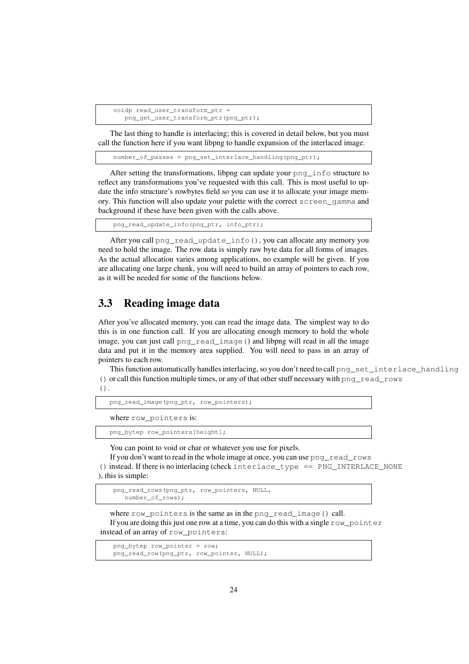```
voidp read_user_transform_ptr =
   png_get_user_transform_ptr(png_ptr);
```
The last thing to handle is interlacing; this is covered in detail below, but you must call the function here if you want libpng to handle expansion of the interlaced image.

number\_of\_passes = png\_set\_interlace\_handling(png\_ptr);

After setting the transformations, libpng can update your png\_info structure to reflect any transformations you've requested with this call. This is most useful to update the info structure's rowbytes field so you can use it to allocate your image memory. This function will also update your palette with the correct screen\_gamma and background if these have been given with the calls above.

png\_read\_update\_info(png\_ptr, info\_ptr);

After you call png\_read\_update\_info(), you can allocate any memory you need to hold the image. The row data is simply raw byte data for all forms of images. As the actual allocation varies among applications, no example will be given. If you are allocating one large chunk, you will need to build an array of pointers to each row, as it will be needed for some of the functions below.

### 3.3 Reading image data

After you've allocated memory, you can read the image data. The simplest way to do this is in one function call. If you are allocating enough memory to hold the whole image, you can just call png\_read\_image() and libpng will read in all the image data and put it in the memory area supplied. You will need to pass in an array of pointers to each row.

This function automatically handles interlacing, so you don't need to call png\_set\_interlace\_handling () or call this function multiple times, or any of that other stuff necessary with png\_read\_rows  $()$ .

```
png_read_image(png_ptr, row_pointers);
```
where row\_pointers is:

png\_bytep row\_pointers[height];

You can point to void or char or whatever you use for pixels.

If you don't want to read in the whole image at once, you can use png\_read\_rows () instead. If there is no interlacing (check interlace type  $==$  PNG INTERLACE NONE

), this is simple:

```
png_read_rows(png_ptr, row_pointers, NULL,
   number_of_rows);
```
where row pointers is the same as in the png\_read\_image() call. If you are doing this just one row at a time, you can do this with a single row pointer instead of an array of row\_pointers:

```
png_bytep row_pointer = row;
png_read_row(png_ptr, row_pointer, NULL);
```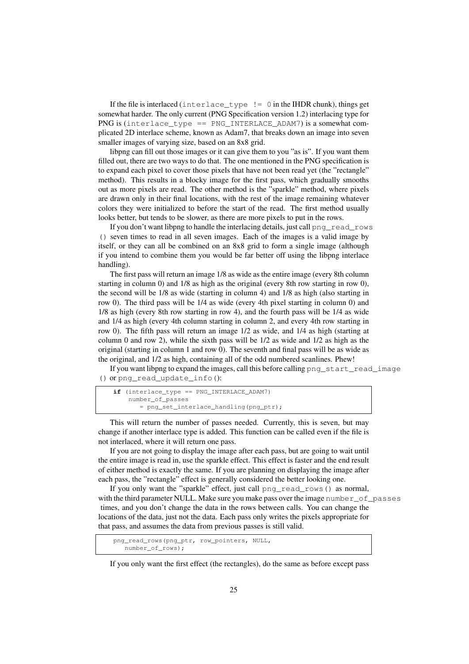If the file is interlaced (interlace\_type  $!= 0$  in the IHDR chunk), things get somewhat harder. The only current (PNG Specification version 1.2) interlacing type for PNG is (interlace\_type == PNG\_INTERLACE\_ADAM7) is a somewhat complicated 2D interlace scheme, known as Adam7, that breaks down an image into seven smaller images of varying size, based on an 8x8 grid.

libpng can fill out those images or it can give them to you "as is". If you want them filled out, there are two ways to do that. The one mentioned in the PNG specification is to expand each pixel to cover those pixels that have not been read yet (the "rectangle" method). This results in a blocky image for the first pass, which gradually smooths out as more pixels are read. The other method is the "sparkle" method, where pixels are drawn only in their final locations, with the rest of the image remaining whatever colors they were initialized to before the start of the read. The first method usually looks better, but tends to be slower, as there are more pixels to put in the rows.

If you don't want libpng to handle the interlacing details, just call png\_read\_rows () seven times to read in all seven images. Each of the images is a valid image by itself, or they can all be combined on an 8x8 grid to form a single image (although if you intend to combine them you would be far better off using the libpng interlace handling).

The first pass will return an image 1/8 as wide as the entire image (every 8th column starting in column 0) and 1/8 as high as the original (every 8th row starting in row 0), the second will be 1/8 as wide (starting in column 4) and 1/8 as high (also starting in row 0). The third pass will be 1/4 as wide (every 4th pixel starting in column 0) and 1/8 as high (every 8th row starting in row 4), and the fourth pass will be 1/4 as wide and 1/4 as high (every 4th column starting in column 2, and every 4th row starting in row 0). The fifth pass will return an image 1/2 as wide, and 1/4 as high (starting at column 0 and row 2), while the sixth pass will be 1/2 as wide and 1/2 as high as the original (starting in column 1 and row 0). The seventh and final pass will be as wide as the original, and 1/2 as high, containing all of the odd numbered scanlines. Phew!

If you want libpng to expand the images, call this before calling png\_start\_read\_image () or png\_read\_update\_info():

```
if (interlace_type == PNG_INTERLACE_ADAM7)
    number_of_passes
       = png_set_interlace_handling(png_ptr);
```
This will return the number of passes needed. Currently, this is seven, but may change if another interlace type is added. This function can be called even if the file is not interlaced, where it will return one pass.

If you are not going to display the image after each pass, but are going to wait until the entire image is read in, use the sparkle effect. This effect is faster and the end result of either method is exactly the same. If you are planning on displaying the image after each pass, the "rectangle" effect is generally considered the better looking one.

If you only want the "sparkle" effect, just call png\_read\_rows() as normal, with the third parameter NULL. Make sure you make pass over the image number of passes times, and you don't change the data in the rows between calls. You can change the locations of the data, just not the data. Each pass only writes the pixels appropriate for that pass, and assumes the data from previous passes is still valid.

```
png_read_rows(png_ptr, row_pointers, NULL,
   number_of_rows);
```
If you only want the first effect (the rectangles), do the same as before except pass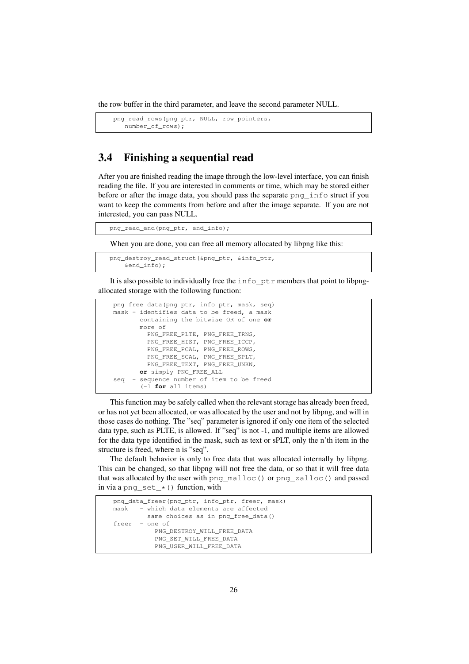the row buffer in the third parameter, and leave the second parameter NULL.

```
png_read_rows(png_ptr, NULL, row_pointers,
   number_of_rows);
```
#### 3.4 Finishing a sequential read

After you are finished reading the image through the low-level interface, you can finish reading the file. If you are interested in comments or time, which may be stored either before or after the image data, you should pass the separate png\_info struct if you want to keep the comments from before and after the image separate. If you are not interested, you can pass NULL.

png\_read\_end(png\_ptr, end\_info);

When you are done, you can free all memory allocated by libpng like this:

```
png_destroy_read_struct(&png_ptr, &info_ptr,
    &end_info);
```
It is also possible to individually free the  $info\_ptr$  members that point to libpngallocated storage with the following function:

```
png_free_data(png_ptr, info_ptr, mask, seq)
mask - identifies data to be freed, a mask
       containing the bitwise OR of one or
       more of
        PNG_FREE_PLTE, PNG_FREE_TRNS,
         PNG_FREE_HIST, PNG_FREE_ICCP,
         PNG_FREE_PCAL, PNG_FREE_ROWS,
         PNG_FREE_SCAL, PNG_FREE_SPLT,
         PNG_FREE_TEXT, PNG_FREE_UNKN,
       or simply PNG_FREE_ALL
seq - sequence number of item to be freed
       (-1 for all items)
```
This function may be safely called when the relevant storage has already been freed, or has not yet been allocated, or was allocated by the user and not by libpng, and will in those cases do nothing. The "seq" parameter is ignored if only one item of the selected data type, such as PLTE, is allowed. If "seq" is not -1, and multiple items are allowed for the data type identified in the mask, such as text or sPLT, only the n'th item in the structure is freed, where n is "seq".

The default behavior is only to free data that was allocated internally by libpng. This can be changed, so that libpng will not free the data, or so that it will free data that was allocated by the user with png\_malloc() or png\_zalloc() and passed in via a png\_set\_\*() function, with

```
png_data_freer(png_ptr, info_ptr, freer, mask)
mask - which data elements are affected
        same choices as in png free data()
freer - one of
          PNG_DESTROY_WILL_FREE_DATA
           PNG_SET_WILL_FREE_DATA
           PNG_USER_WILL_FREE_DATA
```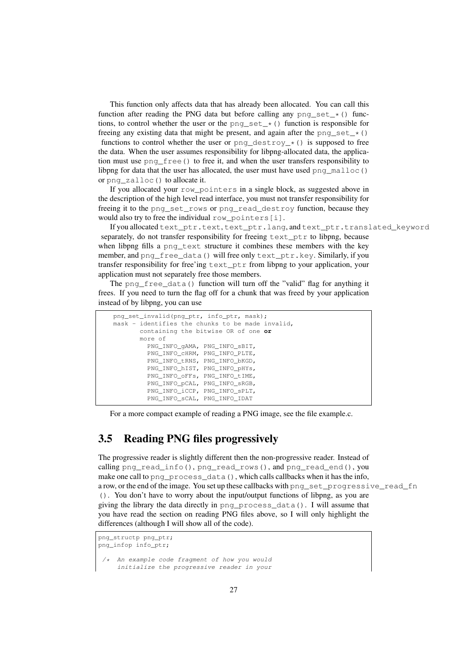This function only affects data that has already been allocated. You can call this function after reading the PNG data but before calling any  $p \nvert_{S^{d-1}}$  functions, to control whether the user or the pnq set  $\star$  () function is responsible for freeing any existing data that might be present, and again after the pnq\_set\_ $\star$ () functions to control whether the user or  $p \nvert q$  destroy  $\star$  () is supposed to free the data. When the user assumes responsibility for libpng-allocated data, the application must use png\_free() to free it, and when the user transfers responsibility to libpng for data that the user has allocated, the user must have used png  $m$ alloc() or png\_zalloc() to allocate it.

If you allocated your row\_pointers in a single block, as suggested above in the description of the high level read interface, you must not transfer responsibility for freeing it to the png\_set\_rows or png\_read\_destroy function, because they would also try to free the individual row\_pointers[i].

If you allocated text\_ptr.text, text\_ptr.lang, and text\_ptr.translated\_keyword separately, do not transfer responsibility for freeing text ptr to libpng, because when libpng fills a png text structure it combines these members with the key member, and png\_free\_data() will free only text\_ptr.key. Similarly, if you transfer responsibility for free'ing text\_ptr from libpng to your application, your application must not separately free those members.

The png free data() function will turn off the "valid" flag for anything it frees. If you need to turn the flag off for a chunk that was freed by your application instead of by libpng, you can use

```
png_set_invalid(png_ptr, info_ptr, mask);
mask - identifies the chunks to be made invalid,
       containing the bitwise OR of one or
       more of
         PNG_INFO_gAMA, PNG_INFO_sBIT,
         PNG_INFO_cHRM, PNG_INFO_PLTE,
         PNG_INFO_tRNS, PNG_INFO_bKGD,
         PNG_INFO_hIST, PNG_INFO_pHYs,
         PNG_INFO_oFFs, PNG_INFO_tIME,
         PNG_INFO_pCAL, PNG_INFO_sRGB,
         PNG_INFO_iCCP, PNG_INFO_sPLT,
         PNG_INFO_sCAL, PNG_INFO_IDAT
```
For a more compact example of reading a PNG image, see the file example.c.

#### 3.5 Reading PNG files progressively

The progressive reader is slightly different then the non-progressive reader. Instead of calling png read info(), png read rows(), and png read end(), you make one call to png\_process\_data(), which calls callbacks when it has the info, a row, or the end of the image. You set up these callbacks with  $png_set_progressive\_read_fn$ (). You don't have to worry about the input/output functions of libpng, as you are giving the library the data directly in png\_process\_data(). I will assume that you have read the section on reading PNG files above, so I will only highlight the differences (although I will show all of the code).

```
png_structp png_ptr;
png_infop info_ptr;
    /* An example code fragment of how you would
     initialize the progressive reader in your
```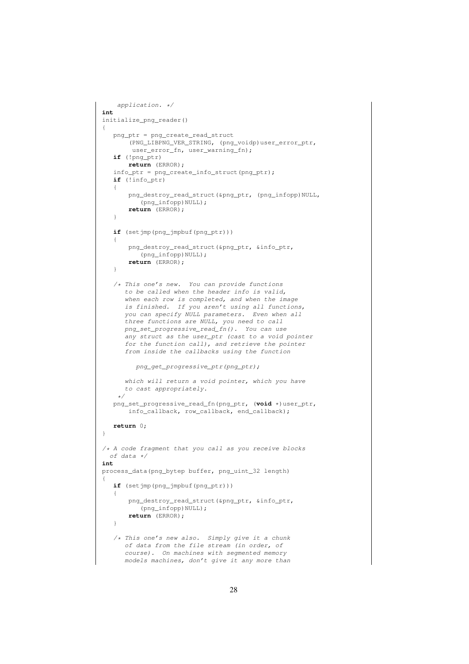```
application. */
int
initialize png_reader()
{
   png_ptr = png_create_read_struct
       (PNG_LIBPNG_VER_STRING, (png_voidp)user_error_ptr,
        user_error_fn, user_warning_fn);
   if (!png_ptr)
       return (ERROR);
   info_ptr = png_create_info_struct(png_ptr);
   if (!info_ptr)
   {
       png_destroy_read_struct(&png_ptr, (png_infopp)NULL,
          (png_infopp)NULL);
       return (ERROR);
   }
   if (setjmp(png_jmpbuf(png_ptr)))
   {
       png_destroy_read_struct(&png_ptr, &info_ptr,
         (png_infopp)NULL);
       return (ERROR);
   }
   /* This one's new. You can provide functions
      to be called when the header info is valid,
      when each row is completed, and when the image
      is finished. If you aren't using all functions,
      you can specify NULL parameters. Even when all
      three functions are NULL, you need to call
      png_set_progressive_read_fn(). You can use
      any struct as the user_ptr (cast to a void pointer
      for the function call), and retrieve the pointer
      from inside the callbacks using the function
         png_get_progressive_ptr(png_ptr);
      which will return a void pointer, which you have
      to cast appropriately.
    */
   png_set_progressive_read_fn(png_ptr, (void *)user_ptr,
       info_callback, row_callback, end_callback);
   return 0;
}
/* A code fragment that you call as you receive blocks
 of data */
int
process_data(png_bytep buffer, png_uint_32 length)
{
   if (setjmp(png_jmpbuf(png_ptr)))
   {
       png_destroy_read_struct(&png_ptr, &info_ptr,
          (png_infopp)NULL);
       return (ERROR);
   }
   /* This one's new also. Simply give it a chunk
      of data from the file stream (in order, of
      course). On machines with segmented memory
      models machines, don't give it any more than
```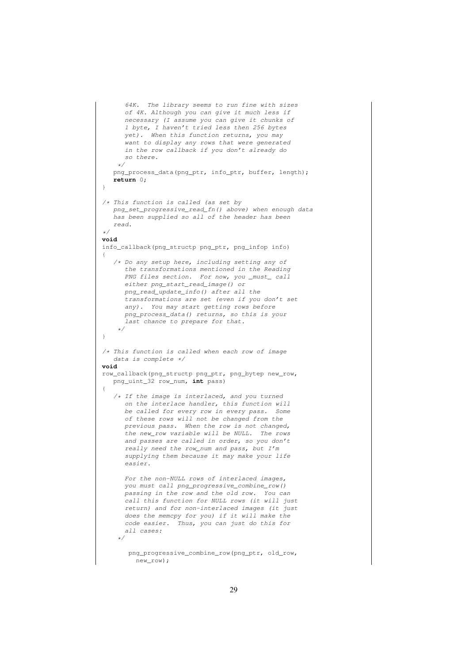```
64K. The library seems to run fine with sizes
      of 4K. Although you can give it much less if
      necessary (I assume you can give it chunks of
      1 byte, I haven't tried less then 256 bytes
     yet). When this function returns, you may
      want to display any rows that were generated
      in the row callback if you don't already do
     so there.
    */
   png_process_data(png_ptr, info_ptr, buffer, length);
   return 0;
}
/* This function is called (as set by
  png_set_progressive_read_fn() above) when enough data
   has been supplied so all of the header has been
   read.
*/
void
info_callback(png_structp png_ptr, png_infop info)
{
   /* Do any setup here, including setting any of
      the transformations mentioned in the Reading
      PNG files section. For now, you _must_ call
      either png_start_read_image() or
      png_read_update_info() after all the
     transformations are set (even if you don't set
      any). You may start getting rows before
     png_process_data() returns, so this is your
     last chance to prepare for that.
    */
}
/* This function is called when each row of image
  data is complete */
void
row_callback(png_structp png_ptr, png_bytep new_row,
  png_uint_32 row_num, int pass)
{
   /* If the image is interlaced, and you turned
      on the interlace handler, this function will
      be called for every row in every pass. Some
      of these rows will not be changed from the
      previous pass. When the row is not changed,
      the new_row variable will be NULL. The rows
      and passes are called in order, so you don't
      really need the row_num and pass, but I'm
      supplying them because it may make your life
      easier.
      For the non-NULL rows of interlaced images,
      you must call png_progressive_combine_row()
     passing in the row and the old row. You can
      call this function for NULL rows (it will just
      return) and for non-interlaced images (it just
      does the memcpy for you) if it will make the
      code easier. Thus, you can just do this for
      all cases:
    */
      png_progressive_combine_row(png_ptr, old_row,
```

```
new row) :
```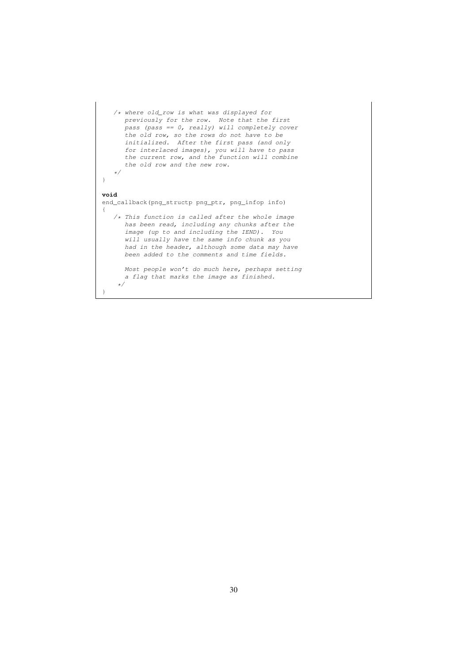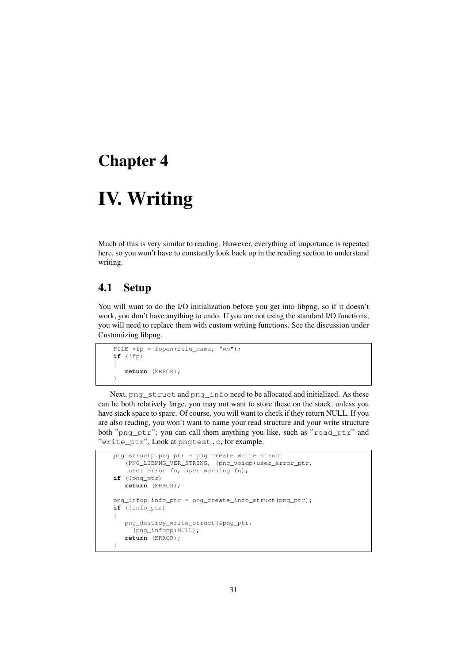## IV. Writing

Much of this is very similar to reading. However, everything of importance is repeated here, so you won't have to constantly look back up in the reading section to understand writing.

#### 4.1 Setup

You will want to do the I/O initialization before you get into libpng, so if it doesn't work, you don't have anything to undo. If you are not using the standard I/O functions, you will need to replace them with custom writing functions. See the discussion under Customizing libpng.

```
FILE *fp = fopen(file_name, "wb");if (!fp)
{
   return (ERROR);
}
```
Next, png\_struct and png\_info need to be allocated and initialized. As these can be both relatively large, you may not want to store these on the stack, unless you have stack space to spare. Of course, you will want to check if they return NULL. If you are also reading, you won't want to name your read structure and your write structure both "png\_ptr"; you can call them anything you like, such as "read\_ptr" and "write\_ptr". Look at pngtest.c, for example.

```
png_structp png_ptr = png_create_write_struct
     - This the set of the set of the set of the set of the set of the set of the set of the set of the set of the set of the set of the set of the set of the set of the set of the set of the set of the set of the set of the se
      user_error_fn, user_warning_fn);
if (!png_ptr)
    return (ERROR);
png_infop info_ptr = png_create_info_struct(png_ptr);
if (!info_ptr)
{
    png_destroy_write_struct(&png_ptr,
        (png_infopp)NULL);
     return (ERROR);
}
```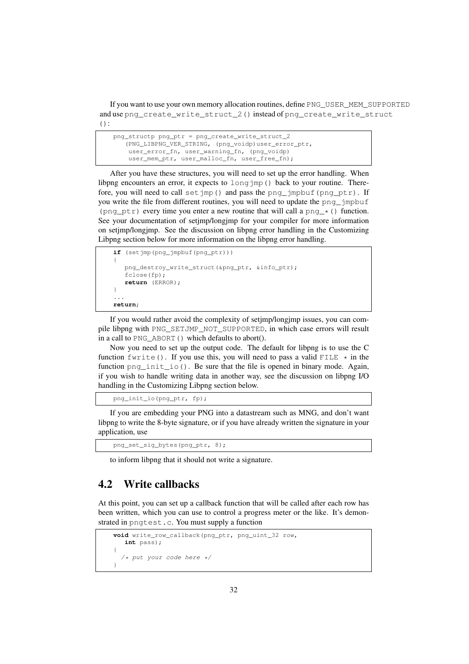If you want to use your own memory allocation routines, define PNG\_USER\_MEM\_SUPPORTED and use png\_create\_write\_struct\_2() instead of png\_create\_write\_struct  $()$ :

```
png_structp png_ptr = png_create_write_struct_2
   (PNG_LIBPNG_VER_STRING, (png_voidp)user_error_ptr,
   user_error_fn, user_warning_fn, (png_voidp)
    user_mem_ptr, user_malloc_fn, user_free_fn);
```
After you have these structures, you will need to set up the error handling. When libpng encounters an error, it expects to longjmp() back to your routine. Therefore, you will need to call set jmp() and pass the png\_jmpbuf(png\_ptr). If you write the file from different routines, you will need to update the png\_jmpbuf (png\_ptr) every time you enter a new routine that will call a  $png_*$  () function. See your documentation of setjmp/longjmp for your compiler for more information on setjmp/longjmp. See the discussion on libpng error handling in the Customizing Libpng section below for more information on the libpng error handling.

```
if (setjmp(png_jmpbuf(png_ptr)))
{
   png_destroy_write_struct(&png_ptr, &info_ptr);
   fclose(fp);
   return (ERROR);
}
...
return;
```
If you would rather avoid the complexity of setjmp/longjmp issues, you can compile libpng with PNG\_SETJMP\_NOT\_SUPPORTED, in which case errors will result in a call to PNG\_ABORT() which defaults to abort().

Now you need to set up the output code. The default for libpng is to use the C function fwrite(). If you use this, you will need to pass a valid FILE  $*$  in the function png\_init\_io(). Be sure that the file is opened in binary mode. Again, if you wish to handle writing data in another way, see the discussion on libpng I/O handling in the Customizing Libpng section below.

```
png_init_io(png_ptr, fp);
```
If you are embedding your PNG into a datastream such as MNG, and don't want libpng to write the 8-byte signature, or if you have already written the signature in your application, use

```
png_set_sig_bytes(png_ptr, 8);
```
to inform libpng that it should not write a signature.

#### 4.2 Write callbacks

At this point, you can set up a callback function that will be called after each row has been written, which you can use to control a progress meter or the like. It's demonstrated in pngtest.c. You must supply a function

```
void write_row_callback(png_ptr, png_uint_32 row,
  int pass);
{
  /* put your code here */
}
```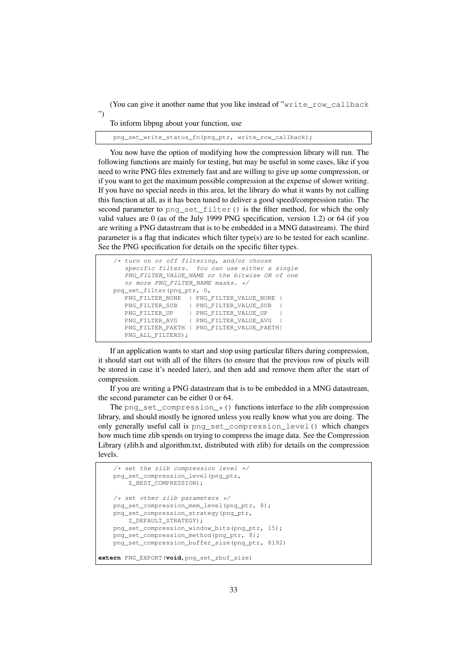(You can give it another name that you like instead of "write\_row\_callback ")

To inform libpng about your function, use

png\_set\_write\_status\_fn(png\_ptr, write\_row\_callback);

You now have the option of modifying how the compression library will run. The following functions are mainly for testing, but may be useful in some cases, like if you need to write PNG files extremely fast and are willing to give up some compression, or if you want to get the maximum possible compression at the expense of slower writing. If you have no special needs in this area, let the library do what it wants by not calling this function at all, as it has been tuned to deliver a good speed/compression ratio. The second parameter to png\_set\_filter() is the filter method, for which the only valid values are 0 (as of the July 1999 PNG specification, version 1.2) or 64 (if you are writing a PNG datastream that is to be embedded in a MNG datastream). The third parameter is a flag that indicates which filter type(s) are to be tested for each scanline. See the PNG specification for details on the specific filter types.

```
/* turn on or off filtering, and/or choose
   specific filters. You can use either a single
   PNG_FILTER_VALUE_NAME or the bitwise OR of one
   or more PNG_FILTER_NAME masks. */
png_set_filter(png_ptr, 0,
   PNG_FILTER_NONE | PNG_FILTER_VALUE_NONE |
   PNG_FILTER_SUB | PNG_FILTER_VALUE_SUB |
  PNG_FILTER_UP | PNG_FILTER_VALUE_UP
   PNG_FILTER_AVG | PNG_FILTER_VALUE_AVG |
   PNG_FILTER_PAETH | PNG_FILTER_VALUE_PAETH|
   PNG_ALL_FILTERS);
```
If an application wants to start and stop using particular filters during compression, it should start out with all of the filters (to ensure that the previous row of pixels will be stored in case it's needed later), and then add and remove them after the start of compression.

If you are writing a PNG datastream that is to be embedded in a MNG datastream, the second parameter can be either 0 or 64.

The png\_set\_compression\_\*() functions interface to the zlib compression library, and should mostly be ignored unless you really know what you are doing. The only generally useful call is png\_set\_compression\_level() which changes how much time zlib spends on trying to compress the image data. See the Compression Library (zlib.h and algorithm.txt, distributed with zlib) for details on the compression levels.

```
/* set the zlib compression level */
   png_set_compression_level(png_ptr,
        Z_BEST_COMPRESSION);
   /* set other zlib parameters */
   png_set_compression_mem_level(png_ptr, 8);
   png_set_compression_strategy(png_ptr,
       Z_DEFAULT_STRATEGY);
   png_set_compression_window_bits(png_ptr, 15);
   png_set_compression_method(png_ptr, 8);
   png_set_compression_buffer_size(png_ptr, 8192)
extern PNG_EXPORT(void,png_set_zbuf_size)
```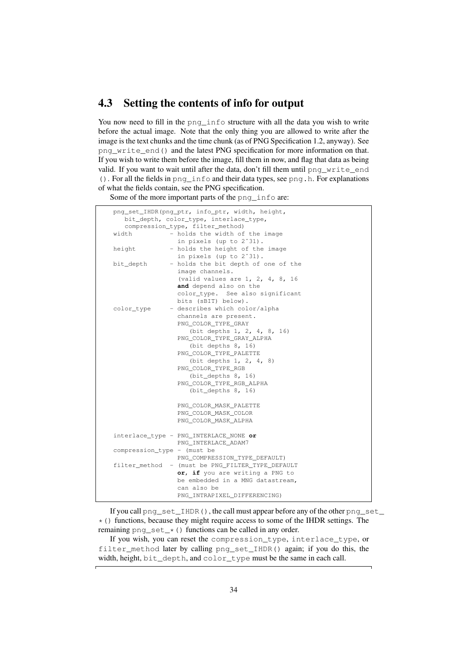### 4.3 Setting the contents of info for output

You now need to fill in the png\_info structure with all the data you wish to write before the actual image. Note that the only thing you are allowed to write after the image is the text chunks and the time chunk (as of PNG Specification 1.2, anyway). See png\_write\_end() and the latest PNG specification for more information on that. If you wish to write them before the image, fill them in now, and flag that data as being valid. If you want to wait until after the data, don't fill them until png\_write\_end (). For all the fields in png\_info and their data types, see png.h. For explanations of what the fields contain, see the PNG specification.

Some of the more important parts of the png info are:

|                             | png_set_IHDR(png_ptr, info_ptr, width, height,<br>bit_depth, color_type, interlace_type, |
|-----------------------------|------------------------------------------------------------------------------------------|
|                             | compression_type, filter_method)                                                         |
| width                       | - holds the width of the image                                                           |
|                             |                                                                                          |
| height                      | in pixels (up to 2^31).<br>- holds the height of the image                               |
|                             |                                                                                          |
|                             | in pixels (up to 2^31).                                                                  |
| bit_depth                   | - holds the bit depth of one of the                                                      |
|                             | image channels.                                                                          |
|                             | (valid values are 1, 2, 4, 8, 16                                                         |
|                             | and depend also on the                                                                   |
|                             | color_type. See also significant                                                         |
|                             | bits (sBIT) below).                                                                      |
| color_type                  | - describes which color/alpha                                                            |
|                             | channels are present.                                                                    |
|                             | PNG COLOR TYPE GRAY                                                                      |
|                             | (bit depths 1, 2, 4, 8, 16)                                                              |
|                             | PNG_COLOR_TYPE_GRAY_ALPHA                                                                |
|                             | (bit depths $8, 16$ )                                                                    |
|                             | PNG_COLOR_TYPE_PALETTE                                                                   |
|                             | (bit depths $1, 2, 4, 8$ )                                                               |
|                             | PNG_COLOR_TYPE_RGB                                                                       |
|                             | $(bit_{defths} 8, 16)$                                                                   |
|                             | PNG_COLOR_TYPE_RGB_ALPHA                                                                 |
|                             | $(bit_{defths} 8, 16)$                                                                   |
|                             | PNG_COLOR_MASK_PALETTE                                                                   |
|                             | PNG_COLOR_MASK_COLOR                                                                     |
|                             | PNG_COLOR_MASK_ALPHA                                                                     |
|                             | interlace_type - PNG_INTERLACE_NONE or                                                   |
|                             | PNG_INTERLACE_ADAM7                                                                      |
| compression_type - (must be |                                                                                          |
|                             | PNG_COMPRESSION_TYPE_DEFAULT)                                                            |
|                             | filter_method - (must be PNG_FILTER_TYPE_DEFAULT                                         |
|                             | or, if you are writing a PNG to                                                          |
|                             | be embedded in a MNG datastream,                                                         |
|                             | can also be                                                                              |
|                             | PNG_INTRAPIXEL_DIFFERENCING)                                                             |
|                             |                                                                                          |

If you call png\_set\_IHDR(), the call must appear before any of the other png\_set  $\star$  () functions, because they might require access to some of the IHDR settings. The remaining png\_set\_\*() functions can be called in any order.

If you wish, you can reset the compression\_type, interlace\_type, or filter method later by calling png\_set\_IHDR() again; if you do this, the width, height, bit\_depth, and color\_type must be the same in each call.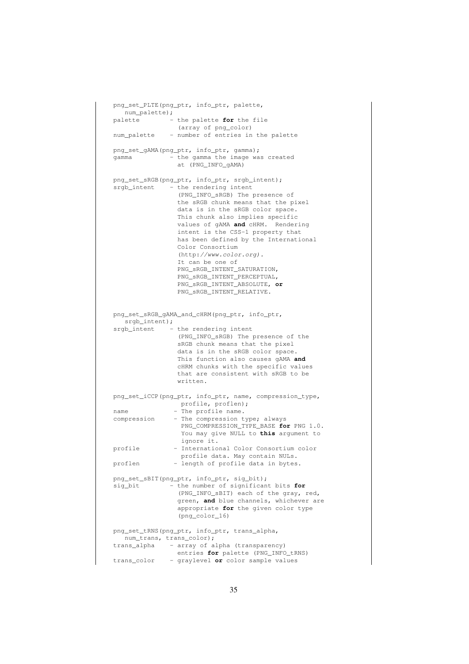```
png_set_PLTE(png_ptr, info_ptr, palette,
  num_palette);
palette - the palette for the file
                (array of png_color)
num_palette - number of entries in the palette
png_set_gAMA(png_ptr, info_ptr, gamma);
gamma - the gamma the image was created
                at (PNG_INFO_gAMA)
png_set_sRGB(png_ptr, info_ptr, srgb_intent);
srgb_intent - the rendering intent
                 (PNG_INFO_sRGB) The presence of
                 the sRGB chunk means that the pixel
                 data is in the sRGB color space.
                 This chunk also implies specific
                values of gAMA and cHRM. Rendering
                intent is the CSS-1 property that
                has been defined by the International
                Color Consortium
                 (http://www.color.org).
                 It can be one of
                 PNG_sRGB_INTENT_SATURATION,
                 PNG_sRGB_INTENT_PERCEPTUAL,
                 PNG_sRGB_INTENT_ABSOLUTE, or
                 PNG_sRGB_INTENT_RELATIVE.
png_set_sRGB_gAMA_and_cHRM(png_ptr, info_ptr,
  srgb_intent);
srgb_intent - the rendering intent
                 (PNG_INFO_sRGB) The presence of the
                 sRGB chunk means that the pixel
                 data is in the sRGB color space.
                 This function also causes gAMA and
                cHRM chunks with the specific values
                 that are consistent with sRGB to be
                written.
png_set_iCCP(png_ptr, info_ptr, name, compression_type,
                profile, proflen);
name - The profile name.<br>
compression - The compression t
               - The compression type; always
                 PNG_COMPRESSION_TYPE_BASE for PNG 1.0.
                  You may give NULL to this argument to
                 ignore it.
profile - International Color Consortium color
                 profile data. May contain NULs.
proflen - length of profile data in bytes.
png_set_sBIT(png_ptr, info_ptr, sig_bit);
sig_bit - the number of significant bits for
                (PNG_INFO_sBIT) each of the gray, red,
                 green, and blue channels, whichever are
                appropriate for the given color type
                 (png_color_16)
png_set_tRNS(png_ptr, info_ptr, trans_alpha,
  num_trans, trans_color);
trans_alpha - array of alpha (transparency)
                entries for palette (PNG_INFO_tRNS)
trans_color - graylevel or color sample values
```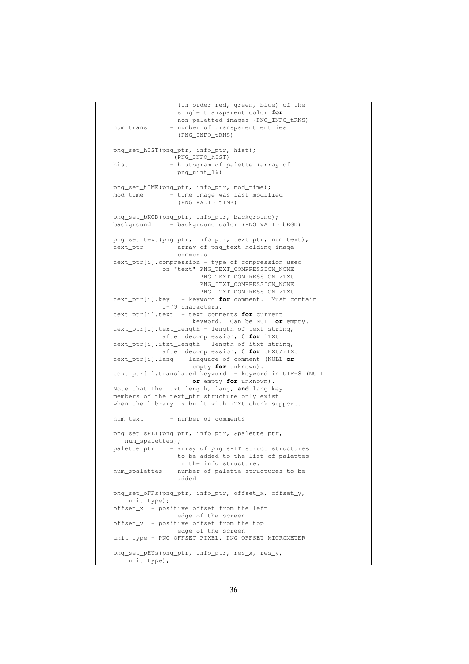```
(in order red, green, blue) of the
                single transparent color for
                non-paletted images (PNG_INFO_tRNS)
num_trans - number of transparent entries
                (PNG_INFO_tRNS)
png_set_hIST(png_ptr, info_ptr, hist);
               (PNG_INFO_hIST)
hist - histogram of palette (array of
                png_uint_16)
png_set_tIME(png_ptr, info_ptr, mod_time);
mod_time - time image was last modified
                (PNG_VALID_tIME)
png_set_bKGD(png_ptr, info_ptr, background);
background - background color (PNG_VALID_bKGD)
png_set_text(png_ptr, info_ptr, text_ptr, num_text);
text_ptr - array of png_text holding image
                comments
text_ptr[i].compression - type of compression used
            on "text" PNG_TEXT_COMPRESSION_NONE
                      PNG_TEXT_COMPRESSION_zTXt
                      PNG_ITXT_COMPRESSION_NONE
                      PNG_ITXT_COMPRESSION_zTXt
text_ptr[i].key - keyword for comment. Must contain
            1-79 characters.
text_ptr[i].text - text comments for current
                   keyword. Can be NULL or empty.
text_ptr[i].text_length - length of text string,
            after decompression, 0 for iTXt
text_ptr[i].itxt_length - length of itxt string,
            after decompression, 0 for tEXt/zTXt
text_ptr[i].lang - language of comment (NULL or
                    empty for unknown).
text_ptr[i].translated_keyword - keyword in UTF-8 (NULL
                    or empty for unknown).
Note that the itxt_length, lang, and lang_key
members of the text_ptr structure only exist
when the library is built with iTXt chunk support.
num_text - number of comments
png_set_sPLT(png_ptr, info_ptr, &palette_ptr,
  num spalettes);
palette_ptr - array of png_sPLT_struct structures
                to be added to the list of palettes
                in the info structure.
num_spalettes - number of palette structures to be
                added.
png_set_oFFs(png_ptr, info_ptr, offset_x, offset_y,
    unit_type);
offset_x - positive offset from the left
                edge of the screen
offset_y - positive offset from the top
                edge of the screen
unit_type - PNG_OFFSET_PIXEL, PNG_OFFSET_MICROMETER
png_set_pHYs(png_ptr, info_ptr, res_x, res_y,
    unit_type);
```
#### 36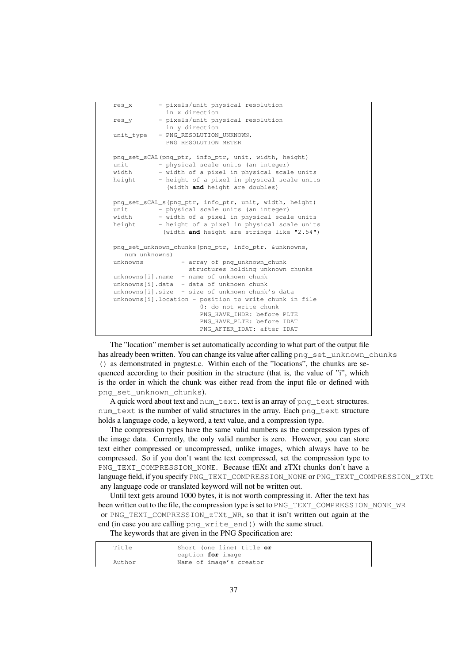```
res_x - pixels/unit physical resolution
            in x direction
res_y - pixels/unit physical resolution
             in y direction
unit_type - PNG_RESOLUTION_UNKNOWN,
            PNG_RESOLUTION_METER
png_set_sCAL(png_ptr, info_ptr, unit, width, height)
unit - physical scale units (an integer)
width - width of a pixel in physical scale units
height - height of a pixel in physical scale units
            (width and height are doubles)
png_set_sCAL_s(png_ptr, info_ptr, unit, width, height)
unit - physical scale units (an integer)
width - width of a pixel in physical scale units
height - height of a pixel in physical scale units
           (width and height are strings like "2.54")
png_set_unknown_chunks(png_ptr, info_ptr, &unknowns,
num_unknowns)
                 - array of png_unknown_chunk
                  structures holding unknown chunks
unknowns[i].name - name of unknown chunk
unknowns[i].data - data of unknown chunk
unknowns[i].size - size of unknown chunk's data
unknowns[i].location - position to write chunk in file
                     0: do not write chunk
                      PNG_HAVE_IHDR: before PLTE
                      PNG_HAVE_PLTE: before IDAT
                      PNG_AFTER_IDAT: after IDAT
```
The "location" member is set automatically according to what part of the output file has already been written. You can change its value after calling png\_set\_unknown\_chunks () as demonstrated in pngtest.c. Within each of the "locations", the chunks are sequenced according to their position in the structure (that is, the value of "i", which is the order in which the chunk was either read from the input file or defined with png\_set\_unknown\_chunks).

A quick word about text and num\_text. text is an array of pnq\_text structures. num text is the number of valid structures in the array. Each png text structure holds a language code, a keyword, a text value, and a compression type.

The compression types have the same valid numbers as the compression types of the image data. Currently, the only valid number is zero. However, you can store text either compressed or uncompressed, unlike images, which always have to be compressed. So if you don't want the text compressed, set the compression type to PNG\_TEXT\_COMPRESSION\_NONE. Because tEXt and zTXt chunks don't have a language field, if you specify PNG\_TEXT\_COMPRESSION\_NONE or PNG\_TEXT\_COMPRESSION\_zTXt any language code or translated keyword will not be written out.

Until text gets around 1000 bytes, it is not worth compressing it. After the text has been written out to the file, the compression type is set to PNG\_TEXT\_COMPRESSION\_NONE\_WR or PNG\_TEXT\_COMPRESSION\_zTXt\_WR, so that it isn't written out again at the end (in case you are calling png\_write\_end() with the same struct.

The keywords that are given in the PNG Specification are:

| Title  | Short (one line) title or |  |
|--------|---------------------------|--|
|        | caption for image         |  |
| Author | Name of image's creator   |  |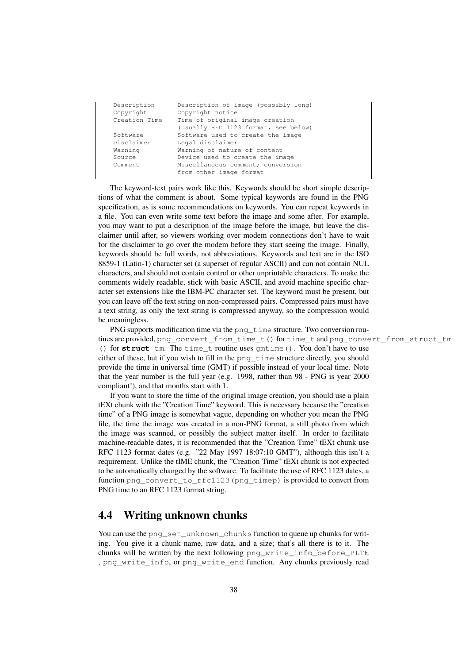```
Description Description of image (possibly long)
Copyright Copyright notice<br>Creation Time Time of original
                Time of original image creation
                (usually RFC 1123 format, see below)
Software Software used to create the image
Disclaimer Legal disclaimer
Warning Warning of nature of content
Source Device used to create the image
Comment Miscellaneous comment; conversion
                from other image format
```
The keyword-text pairs work like this. Keywords should be short simple descriptions of what the comment is about. Some typical keywords are found in the PNG specification, as is some recommendations on keywords. You can repeat keywords in a file. You can even write some text before the image and some after. For example, you may want to put a description of the image before the image, but leave the disclaimer until after, so viewers working over modem connections don't have to wait for the disclaimer to go over the modem before they start seeing the image. Finally, keywords should be full words, not abbreviations. Keywords and text are in the ISO 8859-1 (Latin-1) character set (a superset of regular ASCII) and can not contain NUL characters, and should not contain control or other unprintable characters. To make the comments widely readable, stick with basic ASCII, and avoid machine specific character set extensions like the IBM-PC character set. The keyword must be present, but you can leave off the text string on non-compressed pairs. Compressed pairs must have a text string, as only the text string is compressed anyway, so the compression would be meaningless.

PNG supports modification time via the png\_time structure. Two conversion routines are provided, png\_convert\_from\_time\_t() for time\_t and png\_convert\_from\_struct\_tm () for **struct** tm. The time\_t routine uses gmtime(). You don't have to use either of these, but if you wish to fill in the png\_time structure directly, you should provide the time in universal time (GMT) if possible instead of your local time. Note that the year number is the full year (e.g. 1998, rather than 98 - PNG is year 2000 compliant!), and that months start with 1.

If you want to store the time of the original image creation, you should use a plain tEXt chunk with the "Creation Time" keyword. This is necessary because the "creation time" of a PNG image is somewhat vague, depending on whether you mean the PNG file, the time the image was created in a non-PNG format, a still photo from which the image was scanned, or possibly the subject matter itself. In order to facilitate machine-readable dates, it is recommended that the "Creation Time" tEXt chunk use RFC 1123 format dates (e.g. "22 May 1997 18:07:10 GMT"), although this isn't a requirement. Unlike the tIME chunk, the "Creation Time" tEXt chunk is not expected to be automatically changed by the software. To facilitate the use of RFC 1123 dates, a function png\_convert\_to\_rfc1123(png\_timep) is provided to convert from PNG time to an RFC 1123 format string.

#### 4.4 Writing unknown chunks

You can use the png\_set\_unknown\_chunks function to queue up chunks for writing. You give it a chunk name, raw data, and a size; that's all there is to it. The chunks will be written by the next following png\_write\_info\_before\_PLTE , png\_write\_info, or png\_write\_end function. Any chunks previously read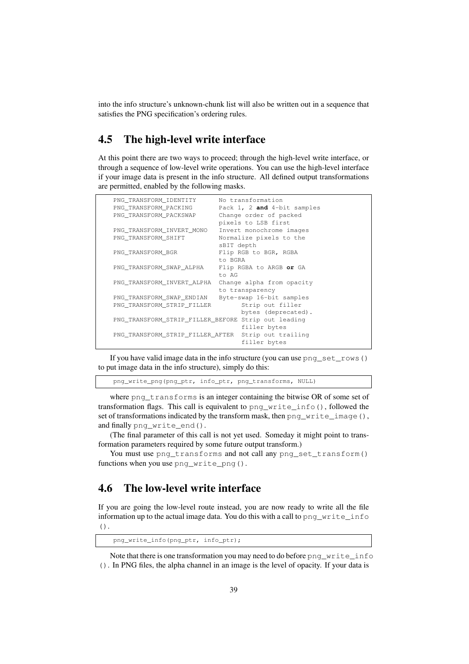into the info structure's unknown-chunk list will also be written out in a sequence that satisfies the PNG specification's ordering rules.

#### 4.5 The high-level write interface

At this point there are two ways to proceed; through the high-level write interface, or through a sequence of low-level write operations. You can use the high-level interface if your image data is present in the info structure. All defined output transformations are permitted, enabled by the following masks.

```
PNG_TRANSFORM_IDENTITY No transformation
PNG_TRANSFORM_PACKING Pack 1, 2 and 4-bit samples
PNG_TRANSFORM_PACKSWAP Change order of packed
                          pixels to LSB first
PNG_TRANSFORM_INVERT_MONO Invert monochrome images
PNG TRANSFORM SHIFT Normalize pixels to the
                          sBIT depth
PNG_TRANSFORM_BGR Flip RGB to BGR, RGBA
                          to BGRA
PNG_TRANSFORM_SWAP_ALPHA Flip RGBA to ARGB or GA
                          to AG
PNG_TRANSFORM_INVERT_ALPHA Change alpha from opacity
                          to transparency
PNG TRANSFORM SWAP ENDIAN Byte-swap 16-bit samples
PNG_TRANSFORM_STRIP_FILLER Strip out filler
                                bytes (deprecated).
PNG_TRANSFORM_STRIP_FILLER_BEFORE Strip out leading
                                filler bytes
PNG TRANSFORM STRIP FILLER AFTER Strip out trailing
                                filler bytes
```
If you have valid image data in the info structure (you can use png\_set\_rows() to put image data in the info structure), simply do this:

png\_write\_png(png\_ptr, info\_ptr, png\_transforms, NULL)

where png\_transforms is an integer containing the bitwise OR of some set of transformation flags. This call is equivalent to png\_write\_info(), followed the set of transformations indicated by the transform mask, then  $p \nvert p \rvert$  write\_image(), and finally png\_write\_end().

(The final parameter of this call is not yet used. Someday it might point to transformation parameters required by some future output transform.)

You must use png transforms and not call any png\_set\_transform() functions when you use png\_write\_png().

### 4.6 The low-level write interface

If you are going the low-level route instead, you are now ready to write all the file information up to the actual image data. You do this with a call to png\_write\_info  $()$ .

```
png_write_info(png_ptr, info_ptr);
```
Note that there is one transformation you may need to do before png\_write\_info (). In PNG files, the alpha channel in an image is the level of opacity. If your data is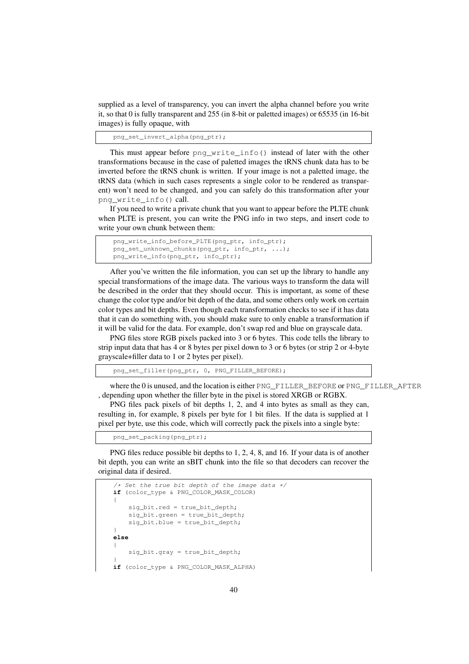supplied as a level of transparency, you can invert the alpha channel before you write it, so that 0 is fully transparent and 255 (in 8-bit or paletted images) or 65535 (in 16-bit images) is fully opaque, with

```
png_set_invert_alpha(png_ptr);
```
This must appear before png write info() instead of later with the other transformations because in the case of paletted images the tRNS chunk data has to be inverted before the tRNS chunk is written. If your image is not a paletted image, the tRNS data (which in such cases represents a single color to be rendered as transparent) won't need to be changed, and you can safely do this transformation after your png\_write\_info() call.

If you need to write a private chunk that you want to appear before the PLTE chunk when PLTE is present, you can write the PNG info in two steps, and insert code to write your own chunk between them:

```
png_write_info_before_PLTE(png_ptr, info_ptr);
png_set_unknown_chunks(png_ptr, info_ptr, ...);
png_write_info(png_ptr, info_ptr);
```
After you've written the file information, you can set up the library to handle any special transformations of the image data. The various ways to transform the data will be described in the order that they should occur. This is important, as some of these change the color type and/or bit depth of the data, and some others only work on certain color types and bit depths. Even though each transformation checks to see if it has data that it can do something with, you should make sure to only enable a transformation if it will be valid for the data. For example, don't swap red and blue on grayscale data.

PNG files store RGB pixels packed into 3 or 6 bytes. This code tells the library to strip input data that has 4 or 8 bytes per pixel down to 3 or 6 bytes (or strip 2 or 4-byte grayscale+filler data to 1 or 2 bytes per pixel).

```
png_set_filler(png_ptr, 0, PNG_FILLER_BEFORE);
```
where the 0 is unused, and the location is either PNG\_FILLER\_BEFORE or PNG\_FILLER\_AFTER , depending upon whether the filler byte in the pixel is stored XRGB or RGBX.

PNG files pack pixels of bit depths 1, 2, and 4 into bytes as small as they can, resulting in, for example, 8 pixels per byte for 1 bit files. If the data is supplied at 1 pixel per byte, use this code, which will correctly pack the pixels into a single byte:

```
png_set_packing(png_ptr);
```
PNG files reduce possible bit depths to 1, 2, 4, 8, and 16. If your data is of another bit depth, you can write an sBIT chunk into the file so that decoders can recover the original data if desired.

```
/* Set the true bit depth of the image data */
if (color_type & PNG_COLOR_MASK_COLOR)
{
    sig_bit.red = true_bit_depth;
    sig_bit.green = true_bit_depth;
    sig_bit.blue = true_bit_depth;
\lambdaelse
{
    sig_bit.gray = true_bit_depth;
}
if (color_type & PNG_COLOR_MASK_ALPHA)
```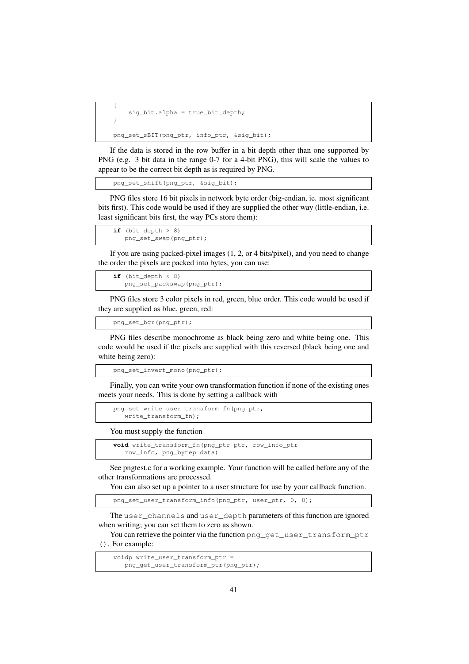```
{
    sig_bit.alpha = true_bit_depth;
}
png_set_sBIT(png_ptr, info_ptr, &sig_bit);
```
If the data is stored in the row buffer in a bit depth other than one supported by PNG (e.g. 3 bit data in the range 0-7 for a 4-bit PNG), this will scale the values to appear to be the correct bit depth as is required by PNG.

```
png_set_shift(png_ptr, &sig_bit);
```
PNG files store 16 bit pixels in network byte order (big-endian, ie. most significant bits first). This code would be used if they are supplied the other way (little-endian, i.e. least significant bits first, the way PCs store them):

```
if (bit depth > 8)
   png_set_swap(png_ptr);
```
If you are using packed-pixel images (1, 2, or 4 bits/pixel), and you need to change the order the pixels are packed into bytes, you can use:

```
if (bit_depth < 8)
  png_set_packswap(png_ptr);
```
PNG files store 3 color pixels in red, green, blue order. This code would be used if they are supplied as blue, green, red:

png\_set\_bgr(png\_ptr);

PNG files describe monochrome as black being zero and white being one. This code would be used if the pixels are supplied with this reversed (black being one and white being zero):

```
png_set_invert_mono(png_ptr);
```
Finally, you can write your own transformation function if none of the existing ones meets your needs. This is done by setting a callback with

```
png_set_write_user_transform_fn(png_ptr,
   write_transform_fn);
```
You must supply the function

```
void write_transform_fn(png_ptr ptr, row_info_ptr
   row_info, png_bytep data)
```
See pngtest.c for a working example. Your function will be called before any of the other transformations are processed.

You can also set up a pointer to a user structure for use by your callback function.

```
png_set_user_transform_info(png_ptr, user_ptr, 0, 0);
```
The user channels and user depth parameters of this function are ignored when writing; you can set them to zero as shown.

You can retrieve the pointer via the function png\_get\_user\_transform\_ptr (). For example:

```
voidp write_user_transform_ptr =
  png_get_user_transform_ptr(png_ptr);
```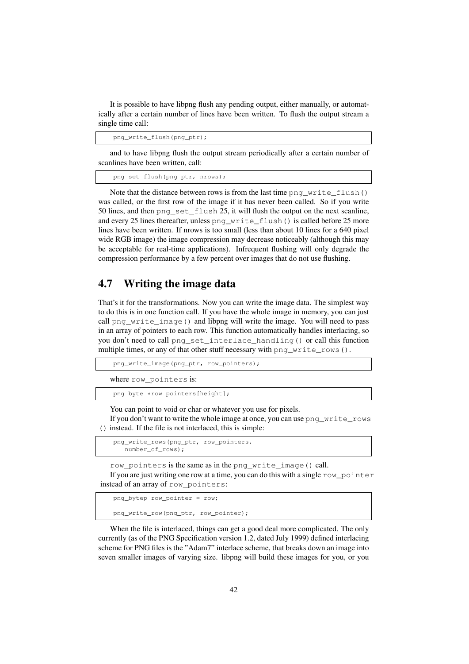It is possible to have libpng flush any pending output, either manually, or automatically after a certain number of lines have been written. To flush the output stream a single time call:

png\_write\_flush(png\_ptr);

and to have libpng flush the output stream periodically after a certain number of scanlines have been written, call:

```
png_set_flush(png_ptr, nrows);
```
Note that the distance between rows is from the last time png\_write\_flush() was called, or the first row of the image if it has never been called. So if you write 50 lines, and then png\_set\_flush 25, it will flush the output on the next scanline, and every 25 lines thereafter, unless png write flush() is called before 25 more lines have been written. If nrows is too small (less than about 10 lines for a 640 pixel wide RGB image) the image compression may decrease noticeably (although this may be acceptable for real-time applications). Infrequent flushing will only degrade the compression performance by a few percent over images that do not use flushing.

#### 4.7 Writing the image data

That's it for the transformations. Now you can write the image data. The simplest way to do this is in one function call. If you have the whole image in memory, you can just call png\_write\_image() and libpng will write the image. You will need to pass in an array of pointers to each row. This function automatically handles interlacing, so you don't need to call png\_set\_interlace\_handling() or call this function multiple times, or any of that other stuff necessary with png\_write\_rows().

```
png_write_image(png_ptr, row_pointers);
```
where row\_pointers is:

```
png_byte *row_pointers[height];
```
You can point to void or char or whatever you use for pixels.

If you don't want to write the whole image at once, you can use png\_write\_rows () instead. If the file is not interlaced, this is simple:

```
png_write_rows(png_ptr, row_pointers,
  number_of_rows);
```
row\_pointers is the same as in the png\_write\_image() call.

If you are just writing one row at a time, you can do this with a single row\_pointer instead of an array of row\_pointers:

```
png_bytep row_pointer = row;
png_write_row(png_ptr, row_pointer);
```
When the file is interlaced, things can get a good deal more complicated. The only currently (as of the PNG Specification version 1.2, dated July 1999) defined interlacing scheme for PNG files is the "Adam7" interlace scheme, that breaks down an image into seven smaller images of varying size. libpng will build these images for you, or you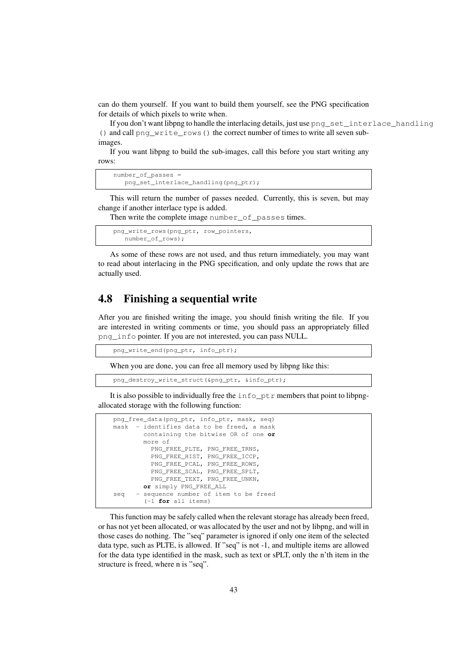can do them yourself. If you want to build them yourself, see the PNG specification for details of which pixels to write when.

If you don't want libpng to handle the interlacing details, just use  $p \nmid q$  set\_interlace\_handling () and call png\_write\_rows() the correct number of times to write all seven subimages.

If you want libpng to build the sub-images, call this before you start writing any rows:

```
number_of_passes =
  png_set_interlace_handling(png_ptr);
```
This will return the number of passes needed. Currently, this is seven, but may change if another interlace type is added.

Then write the complete image number\_of\_passes times.

```
png_write_rows(png_ptr, row_pointers,
   number of rows);
```
As some of these rows are not used, and thus return immediately, you may want to read about interlacing in the PNG specification, and only update the rows that are actually used.

#### 4.8 Finishing a sequential write

After you are finished writing the image, you should finish writing the file. If you are interested in writing comments or time, you should pass an appropriately filled png\_info pointer. If you are not interested, you can pass NULL.

png\_write\_end(png\_ptr, info\_ptr);

When you are done, you can free all memory used by libpng like this:

png\_destroy\_write\_struct(&png\_ptr, &info\_ptr);

It is also possible to individually free the info\_ptr members that point to libpngallocated storage with the following function:

```
png_free_data(png_ptr, info_ptr, mask, seq)
mask - identifies data to be freed, a mask
        containing the bitwise OR of one or
        more of
          PNG_FREE_PLTE, PNG_FREE_TRNS,
          PNG_FREE_HIST, PNG_FREE_ICCP,
          PNG_FREE_PCAL, PNG_FREE_ROWS,
          PNG_FREE_SCAL, PNG_FREE_SPLT,
          PNG_FREE_TEXT, PNG_FREE_UNKN,
        or simply PNG_FREE_ALL
seq - sequence number of item to be freed
        (-1 for all items)
```
This function may be safely called when the relevant storage has already been freed, or has not yet been allocated, or was allocated by the user and not by libpng, and will in those cases do nothing. The "seq" parameter is ignored if only one item of the selected data type, such as PLTE, is allowed. If "seq" is not -1, and multiple items are allowed for the data type identified in the mask, such as text or sPLT, only the n'th item in the structure is freed, where n is "seq".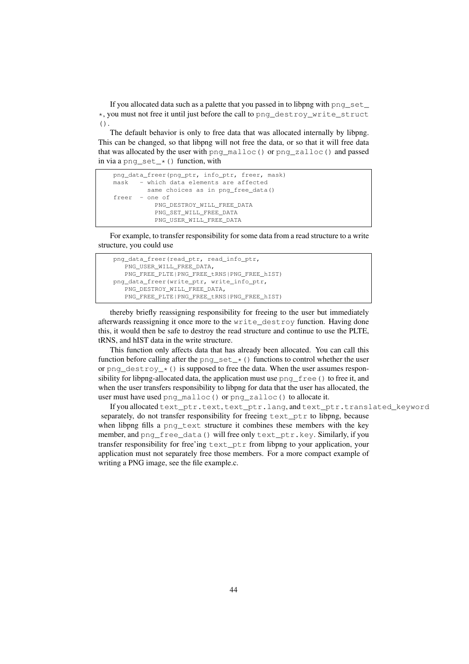If you allocated data such as a palette that you passed in to libpng with png\_set\_ \*, you must not free it until just before the call to png\_destroy\_write\_struct  $()$ .

The default behavior is only to free data that was allocated internally by libpng. This can be changed, so that libpng will not free the data, or so that it will free data that was allocated by the user with png  $m$ alloc() or png zalloc() and passed in via a png\_set\_ $*()$  function, with

```
png_data_freer(png_ptr, info_ptr, freer, mask)
mask - which data elements are affected
         same choices as in png_free_data()
freer - one of
           PNG_DESTROY_WILL_FREE_DATA
           PNG_SET_WILL_FREE_DATA
           PNG_USER_WILL_FREE_DATA
```
For example, to transfer responsibility for some data from a read structure to a write structure, you could use

```
png_data_freer(read_ptr, read_info_ptr,
   PNG_USER_WILL_FREE_DATA,
   PNG_FREE_PLTE|PNG_FREE_tRNS|PNG_FREE_hIST)
png_data_freer(write_ptr, write_info_ptr,
   PNG_DESTROY_WILL_FREE_DATA,
   PNG_FREE_PLTE|PNG_FREE_tRNS|PNG_FREE_hIST)
```
thereby briefly reassigning responsibility for freeing to the user but immediately afterwards reassigning it once more to the write destroy function. Having done this, it would then be safe to destroy the read structure and continue to use the PLTE, tRNS, and hIST data in the write structure.

This function only affects data that has already been allocated. You can call this function before calling after the  $p \nvert p \leq t$  () functions to control whether the user or png\_destroy\_ $*($ ) is supposed to free the data. When the user assumes responsibility for libpng-allocated data, the application must use  $p \nvert q$  free () to free it, and when the user transfers responsibility to libpng for data that the user has allocated, the user must have used png\_malloc() or png\_zalloc() to allocate it.

If you allocated text\_ptr.text, text\_ptr.lang, and text\_ptr.translated\_keyword separately, do not transfer responsibility for freeing text\_ptr to libpng, because when libpng fills a png\_text structure it combines these members with the key member, and png\_free\_data() will free only text\_ptr.key. Similarly, if you transfer responsibility for free'ing text\_ptr from libpng to your application, your application must not separately free those members. For a more compact example of writing a PNG image, see the file example.c.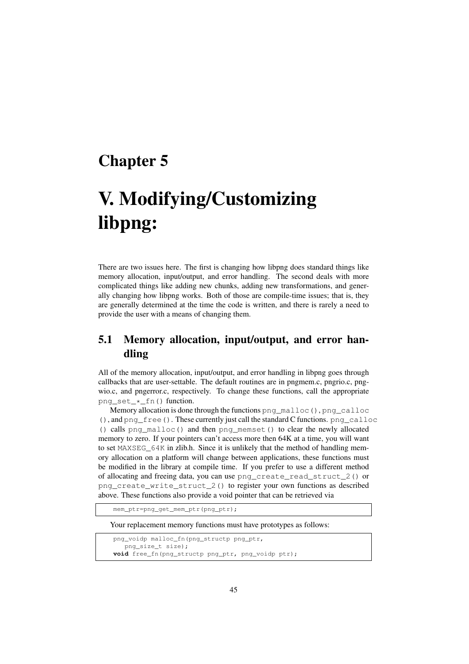# V. Modifying/Customizing libpng:

There are two issues here. The first is changing how libpng does standard things like memory allocation, input/output, and error handling. The second deals with more complicated things like adding new chunks, adding new transformations, and generally changing how libpng works. Both of those are compile-time issues; that is, they are generally determined at the time the code is written, and there is rarely a need to provide the user with a means of changing them.

### 5.1 Memory allocation, input/output, and error handling

All of the memory allocation, input/output, and error handling in libpng goes through callbacks that are user-settable. The default routines are in pngmem.c, pngrio.c, pngwio.c, and pngerror.c, respectively. To change these functions, call the appropriate png\_set\_\*\_fn() function.

Memory allocation is done through the functions png\_malloc(), png\_calloc (), and png\_free(). These currently just call the standard C functions. png\_calloc () calls png malloc() and then png memset() to clear the newly allocated memory to zero. If your pointers can't access more then 64K at a time, you will want to set MAXSEG\_64K in zlib.h. Since it is unlikely that the method of handling memory allocation on a platform will change between applications, these functions must be modified in the library at compile time. If you prefer to use a different method of allocating and freeing data, you can use png\_create\_read\_struct\_2() or png\_create\_write\_struct\_2() to register your own functions as described above. These functions also provide a void pointer that can be retrieved via

mem\_ptr=png\_get\_mem\_ptr(png\_ptr);

Your replacement memory functions must have prototypes as follows:

```
png_voidp malloc_fn(png_structp png_ptr,
  png_size_t size);
void free_fn(png_structp png_ptr, png_voidp ptr);
```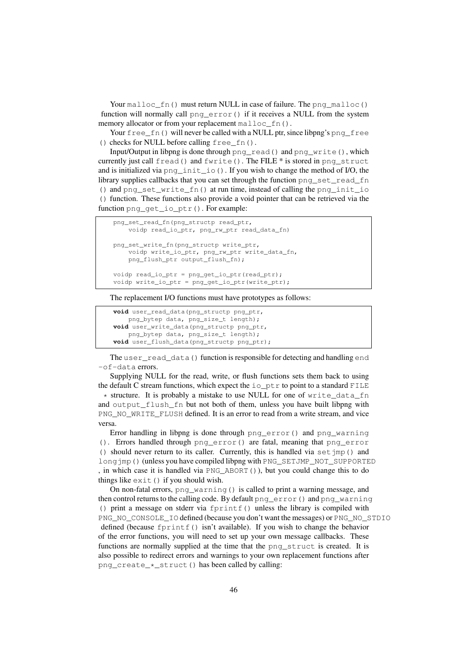Your malloc\_fn() must return NULL in case of failure. The png\_malloc() function will normally call png\_error() if it receives a NULL from the system memory allocator or from your replacement malloc\_fn().

Your free\_fn() will never be called with a NULL ptr, since libpng's png\_free () checks for NULL before calling free\_fn().

Input/Output in libpng is done through png\_read() and png\_write(), which currently just call fread() and  $fwrite()$ . The FILE  $*$  is stored in png struct and is initialized via png\_init\_io(). If you wish to change the method of I/O, the library supplies callbacks that you can set through the function png\_set\_read\_fn () and png\_set\_write\_fn() at run time, instead of calling the png\_init\_io () function. These functions also provide a void pointer that can be retrieved via the function png\_get\_io\_ptr(). For example:

```
png_set_read_fn(png_structp_read_ptr,
    voidp read_io_ptr, png_rw_ptr read_data_fn)
png_set_write_fn(png_structp write_ptr,
    voidp write_io_ptr, png_rw_ptr write_data_fn,
    png_flush_ptr output_flush_fn);
voidp read_io_ptr = png_get_io_ptr(read_ptr);
voidp write_io_ptr = png_get_io_ptr(write_ptr);
```
The replacement I/O functions must have prototypes as follows:

```
void user_read_data(png_structp png_ptr,
   png_bytep data, png_size_t length);
void user_write_data(png_structp png_ptr,
   png_bytep data, png_size_t length);
void user_flush_data(png_structp png_ptr);
```
The user\_read\_data() function is responsible for detecting and handling end -of-data errors.

Supplying NULL for the read, write, or flush functions sets them back to using the default C stream functions, which expect the io\_ptr to point to a standard FILE

 $\star$  structure. It is probably a mistake to use NULL for one of write\_data\_fn and output flush fn but not both of them, unless you have built libpng with PNG\_NO\_WRITE\_FLUSH defined. It is an error to read from a write stream, and vice versa.

Error handling in libpng is done through png\_error() and png\_warning (). Errors handled through png\_error() are fatal, meaning that png\_error () should never return to its caller. Currently, this is handled via setjmp() and longjmp() (unless you have compiled libpng with PNG\_SETJMP\_NOT\_SUPPORTED , in which case it is handled via PNG\_ABORT()), but you could change this to do things like  $\in$ xit() if you should wish.

On non-fatal errors, png\_warning() is called to print a warning message, and then control returns to the calling code. By default png\_error() and png\_warning () print a message on stderr via  $f$ print $f$ () unless the library is compiled with PNG\_NO\_CONSOLE\_IO defined (because you don't want the messages) or PNG\_NO\_STDIO defined (because  $fprint f()$  isn't available). If you wish to change the behavior of the error functions, you will need to set up your own message callbacks. These functions are normally supplied at the time that the png\_struct is created. It is also possible to redirect errors and warnings to your own replacement functions after png\_create\_\*\_struct() has been called by calling: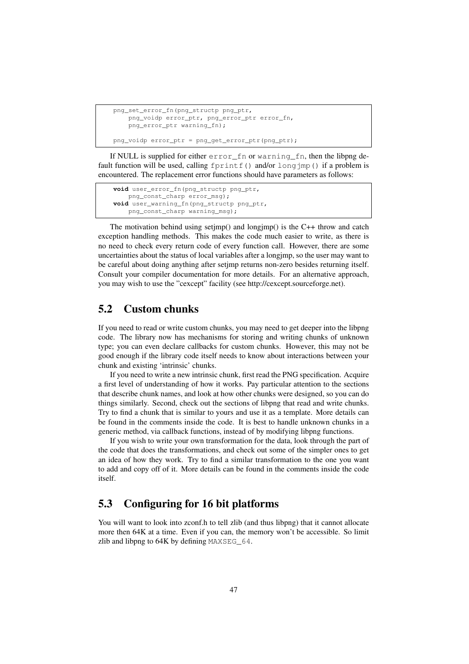```
png_set_error_fn(png_structp png_ptr,
    png_voidp error_ptr, png_error_ptr error_fn,
    png_error_ptr warning_fn);
png_voidp error_ptr = png_get_error_ptr(png_ptr);
```
If NULL is supplied for either error\_fn or warning\_fn, then the libpng default function will be used, calling  $fprint(f)$  and/or long jmp() if a problem is encountered. The replacement error functions should have parameters as follows:

```
void user_error_fn(png_structp png_ptr,
    png_const_charp error_msg);
void user_warning_fn(png_structp png_ptr,
    png_const_charp warning_msg);
```
The motivation behind using setjmp() and longjmp() is the C++ throw and catch exception handling methods. This makes the code much easier to write, as there is no need to check every return code of every function call. However, there are some uncertainties about the status of local variables after a longjmp, so the user may want to be careful about doing anything after setjmp returns non-zero besides returning itself. Consult your compiler documentation for more details. For an alternative approach, you may wish to use the "cexcept" facility (see http://cexcept.sourceforge.net).

#### 5.2 Custom chunks

If you need to read or write custom chunks, you may need to get deeper into the libpng code. The library now has mechanisms for storing and writing chunks of unknown type; you can even declare callbacks for custom chunks. However, this may not be good enough if the library code itself needs to know about interactions between your chunk and existing 'intrinsic' chunks.

If you need to write a new intrinsic chunk, first read the PNG specification. Acquire a first level of understanding of how it works. Pay particular attention to the sections that describe chunk names, and look at how other chunks were designed, so you can do things similarly. Second, check out the sections of libpng that read and write chunks. Try to find a chunk that is similar to yours and use it as a template. More details can be found in the comments inside the code. It is best to handle unknown chunks in a generic method, via callback functions, instead of by modifying libpng functions.

If you wish to write your own transformation for the data, look through the part of the code that does the transformations, and check out some of the simpler ones to get an idea of how they work. Try to find a similar transformation to the one you want to add and copy off of it. More details can be found in the comments inside the code itself.

### 5.3 Configuring for 16 bit platforms

You will want to look into zconf.h to tell zlib (and thus libpng) that it cannot allocate more then 64K at a time. Even if you can, the memory won't be accessible. So limit zlib and libpng to 64K by defining MAXSEG\_64.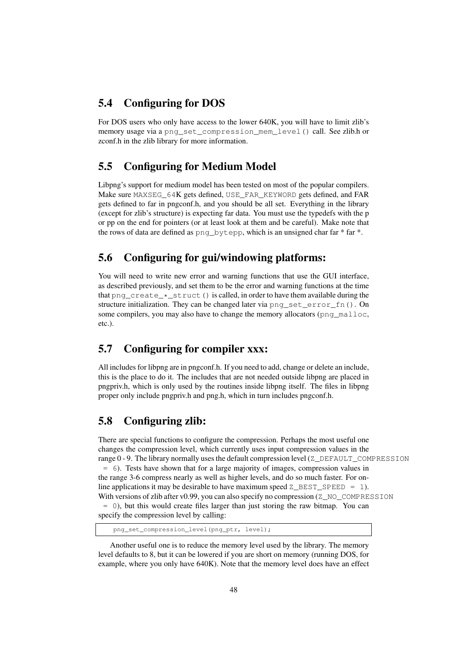#### 5.4 Configuring for DOS

For DOS users who only have access to the lower 640K, you will have to limit zlib's memory usage via a png\_set\_compression\_mem\_level() call. See zlib.h or zconf.h in the zlib library for more information.

#### 5.5 Configuring for Medium Model

Libpng's support for medium model has been tested on most of the popular compilers. Make sure MAXSEG\_64K gets defined, USE\_FAR\_KEYWORD gets defined, and FAR gets defined to far in pngconf.h, and you should be all set. Everything in the library (except for zlib's structure) is expecting far data. You must use the typedefs with the p or pp on the end for pointers (or at least look at them and be careful). Make note that the rows of data are defined as png bytepp, which is an unsigned char far  $*$  far  $*$ .

### 5.6 Configuring for gui/windowing platforms:

You will need to write new error and warning functions that use the GUI interface, as described previously, and set them to be the error and warning functions at the time that png\_create\_\*\_struct() is called, in order to have them available during the structure initialization. They can be changed later via png\_set\_error\_fn(). On some compilers, you may also have to change the memory allocators ( $p \nmid q$  malloc, etc.).

#### 5.7 Configuring for compiler xxx:

All includes for libpng are in pngconf.h. If you need to add, change or delete an include, this is the place to do it. The includes that are not needed outside libpng are placed in pngpriv.h, which is only used by the routines inside libpng itself. The files in libpng proper only include pngpriv.h and png.h, which in turn includes pngconf.h.

#### 5.8 Configuring zlib:

There are special functions to configure the compression. Perhaps the most useful one changes the compression level, which currently uses input compression values in the range 0 - 9. The library normally uses the default compression level (Z\_DEFAULT\_COMPRESSION = 6). Tests have shown that for a large majority of images, compression values in the range 3-6 compress nearly as well as higher levels, and do so much faster. For online applications it may be desirable to have maximum speed  $Z$ \_BEST\_SPEED = 1). With versions of zlib after v0.99, you can also specify no compression (Z\_NO\_COMPRESSION

 $= 0$ ), but this would create files larger than just storing the raw bitmap. You can specify the compression level by calling:

```
png_set_compression_level(png_ptr, level);
```
Another useful one is to reduce the memory level used by the library. The memory level defaults to 8, but it can be lowered if you are short on memory (running DOS, for example, where you only have 640K). Note that the memory level does have an effect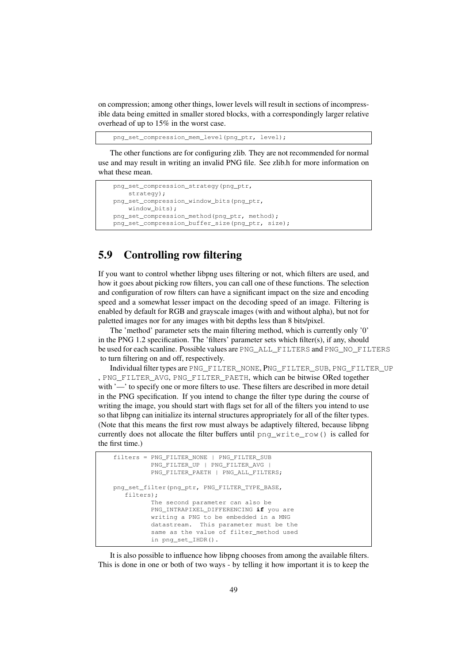on compression; among other things, lower levels will result in sections of incompressible data being emitted in smaller stored blocks, with a correspondingly larger relative overhead of up to 15% in the worst case.

```
png_set_compression_mem_level(png_ptr, level);
```
The other functions are for configuring zlib. They are not recommended for normal use and may result in writing an invalid PNG file. See zlib.h for more information on what these mean.

```
png_set_compression_strategy(png_ptr,
    strategy);
png_set_compression_window_bits(png_ptr,
    window bits):
png_set_compression_method(png_ptr, method);
png_set_compression_buffer_size(png_ptr, size);
```
### 5.9 Controlling row filtering

If you want to control whether libpng uses filtering or not, which filters are used, and how it goes about picking row filters, you can call one of these functions. The selection and configuration of row filters can have a significant impact on the size and encoding speed and a somewhat lesser impact on the decoding speed of an image. Filtering is enabled by default for RGB and grayscale images (with and without alpha), but not for paletted images nor for any images with bit depths less than 8 bits/pixel.

The 'method' parameter sets the main filtering method, which is currently only '0' in the PNG 1.2 specification. The 'filters' parameter sets which filter(s), if any, should be used for each scanline. Possible values are PNG\_ALL\_FILTERS and PNG\_NO\_FILTERS to turn filtering on and off, respectively.

Individual filter types are PNG\_FILTER\_NONE, PNG\_FILTER\_SUB, PNG\_FILTER\_UP , PNG\_FILTER\_AVG, PNG\_FILTER\_PAETH, which can be bitwise ORed together with '—' to specify one or more filters to use. These filters are described in more detail in the PNG specification. If you intend to change the filter type during the course of writing the image, you should start with flags set for all of the filters you intend to use so that libpng can initialize its internal structures appropriately for all of the filter types. (Note that this means the first row must always be adaptively filtered, because libpng currently does not allocate the filter buffers until png\_write\_row() is called for the first time.)

```
filters = PNG_FILTER_NONE | PNG_FILTER_SUB
          PNG_FILTER_UP | PNG_FILTER_AVG |
          PNG_FILTER_PAETH | PNG_ALL_FILTERS;
png_set_filter(png_ptr, PNG_FILTER_TYPE_BASE,
   filters);
          The second parameter can also be
          PNG_INTRAPIXEL_DIFFERENCING if you are
          writing a PNG to be embedded in a MNG
          datastream. This parameter must be the
          same as the value of filter_method used
          in png_set_IHDR().
```
It is also possible to influence how libpng chooses from among the available filters. This is done in one or both of two ways - by telling it how important it is to keep the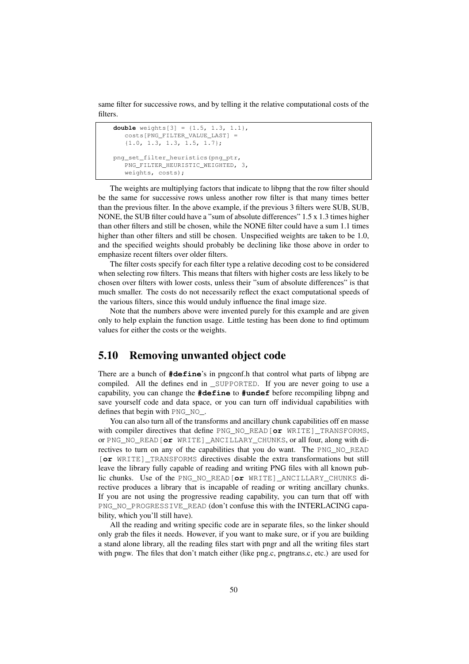same filter for successive rows, and by telling it the relative computational costs of the filters.

```
double weights[3] = {1.5, 1.3, 1.1},
   costs[PNG_FILTER_VALUE_LAST] =
   {1.0, 1.3, 1.3, 1.5, 1.7};
png_set_filter_heuristics(png_ptr,
   PNG_FILTER_HEURISTIC_WEIGHTED, 3,
   weights, costs);
```
The weights are multiplying factors that indicate to libpng that the row filter should be the same for successive rows unless another row filter is that many times better than the previous filter. In the above example, if the previous 3 filters were SUB, SUB, NONE, the SUB filter could have a "sum of absolute differences" 1.5 x 1.3 times higher than other filters and still be chosen, while the NONE filter could have a sum 1.1 times higher than other filters and still be chosen. Unspecified weights are taken to be 1.0, and the specified weights should probably be declining like those above in order to emphasize recent filters over older filters.

The filter costs specify for each filter type a relative decoding cost to be considered when selecting row filters. This means that filters with higher costs are less likely to be chosen over filters with lower costs, unless their "sum of absolute differences" is that much smaller. The costs do not necessarily reflect the exact computational speeds of the various filters, since this would unduly influence the final image size.

Note that the numbers above were invented purely for this example and are given only to help explain the function usage. Little testing has been done to find optimum values for either the costs or the weights.

#### 5.10 Removing unwanted object code

There are a bunch of **#define**'s in pngconf.h that control what parts of libpng are compiled. All the defines end in \_SUPPORTED. If you are never going to use a capability, you can change the **#define** to **#undef** before recompiling libpng and save yourself code and data space, or you can turn off individual capabilities with defines that begin with PNG\_NO\_.

You can also turn all of the transforms and ancillary chunk capabilities off en masse with compiler directives that define PNG\_NO\_READ[**or** WRITE]\_TRANSFORMS, or PNG\_NO\_READ[**or** WRITE]\_ANCILLARY\_CHUNKS, or all four, along with directives to turn on any of the capabilities that you do want. The PNG\_NO\_READ [**or** WRITE]\_TRANSFORMS directives disable the extra transformations but still leave the library fully capable of reading and writing PNG files with all known public chunks. Use of the PNG\_NO\_READ[**or** WRITE]\_ANCILLARY\_CHUNKS directive produces a library that is incapable of reading or writing ancillary chunks. If you are not using the progressive reading capability, you can turn that off with PNG\_NO\_PROGRESSIVE\_READ (don't confuse this with the INTERLACING capability, which you'll still have).

All the reading and writing specific code are in separate files, so the linker should only grab the files it needs. However, if you want to make sure, or if you are building a stand alone library, all the reading files start with pngr and all the writing files start with pngw. The files that don't match either (like png.c, pngtrans.c, etc.) are used for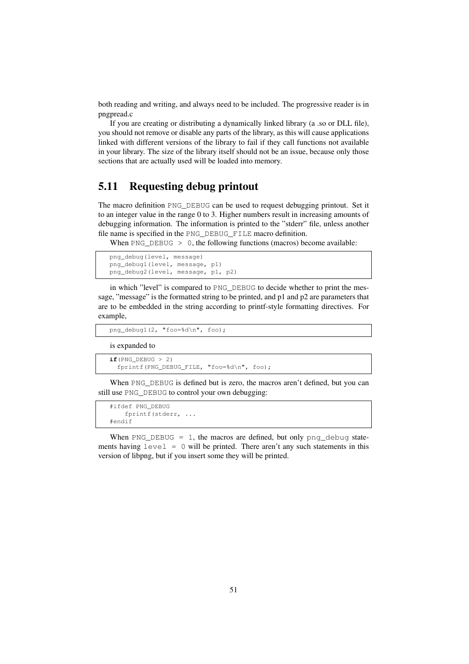both reading and writing, and always need to be included. The progressive reader is in pngpread.c

If you are creating or distributing a dynamically linked library (a .so or DLL file), you should not remove or disable any parts of the library, as this will cause applications linked with different versions of the library to fail if they call functions not available in your library. The size of the library itself should not be an issue, because only those sections that are actually used will be loaded into memory.

#### 5.11 Requesting debug printout

The macro definition PNG DEBUG can be used to request debugging printout. Set it to an integer value in the range 0 to 3. Higher numbers result in increasing amounts of debugging information. The information is printed to the "stderr" file, unless another file name is specified in the PNG\_DEBUG\_FILE macro definition.

When PNG\_DEBUG  $> 0$ , the following functions (macros) become available:

```
png_debug(level, message)
png_debug1(level, message, p1)
png_debug2(level, message, p1, p2)
```
in which "level" is compared to PNG\_DEBUG to decide whether to print the message, "message" is the formatted string to be printed, and p1 and p2 are parameters that are to be embedded in the string according to printf-style formatting directives. For example,

```
png_debug1(2, "foo=%d\n", foo);
```
is expanded to

```
if(PNG DEBUG > 2)fprintf(PNG_DEBUG_FILE, "foo=%d\n", foo);
```
When PNG\_DEBUG is defined but is zero, the macros aren't defined, but you can still use PNG\_DEBUG to control your own debugging:

```
#ifdef PNG_DEBUG
    fprintf(stderr, ...
#endif
```
When PNG DEBUG = 1, the macros are defined, but only png debug statements having  $level = 0$  will be printed. There aren't any such statements in this version of libpng, but if you insert some they will be printed.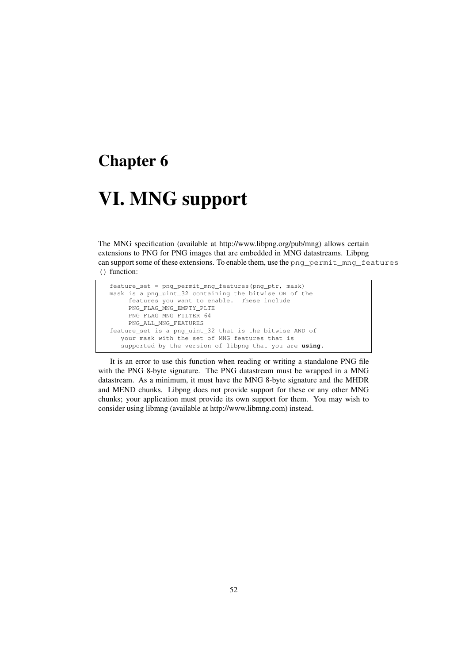## VI. MNG support

The MNG specification (available at http://www.libpng.org/pub/mng) allows certain extensions to PNG for PNG images that are embedded in MNG datastreams. Libpng can support some of these extensions. To enable them, use the png\_permit\_mng\_features () function:

```
feature_set = png_permit_mng_features(png_ptr, mask)
mask is a png_uint_32 containing the bitwise OR of the
     features you want to enable. These include
    PNG_FLAG_MNG_EMPTY_PLTE
    PNG_FLAG_MNG_FILTER_64
    PNG_ALL_MNG_FEATURES
feature_set is a png_uint_32 that is the bitwise AND of
   your mask with the set of MNG features that is
   supported by the version of libpng that you are using.
```
It is an error to use this function when reading or writing a standalone PNG file with the PNG 8-byte signature. The PNG datastream must be wrapped in a MNG datastream. As a minimum, it must have the MNG 8-byte signature and the MHDR and MEND chunks. Libpng does not provide support for these or any other MNG chunks; your application must provide its own support for them. You may wish to consider using libmng (available at http://www.libmng.com) instead.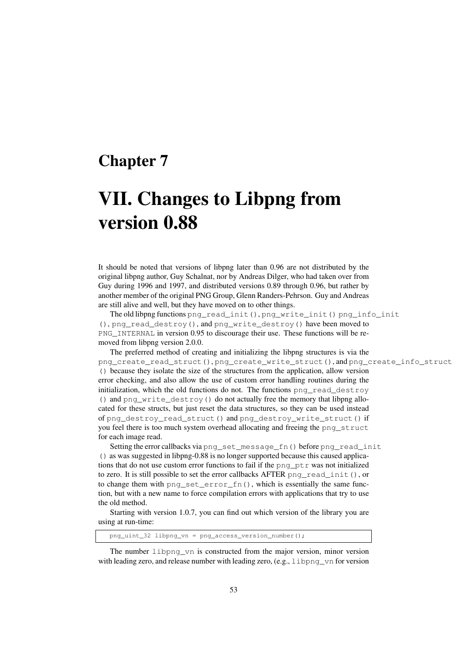# VII. Changes to Libpng from version 0.88

It should be noted that versions of libpng later than 0.96 are not distributed by the original libpng author, Guy Schalnat, nor by Andreas Dilger, who had taken over from Guy during 1996 and 1997, and distributed versions 0.89 through 0.96, but rather by another member of the original PNG Group, Glenn Randers-Pehrson. Guy and Andreas are still alive and well, but they have moved on to other things.

The old libpng functions png\_read\_init(), png\_write\_init() png\_info\_init (), png\_read\_destroy(), and png\_write\_destroy() have been moved to PNG\_INTERNAL in version 0.95 to discourage their use. These functions will be removed from libpng version 2.0.0.

The preferred method of creating and initializing the libpng structures is via the png\_create\_read\_struct(), png\_create\_write\_struct(), and png\_create\_info\_struct () because they isolate the size of the structures from the application, allow version error checking, and also allow the use of custom error handling routines during the initialization, which the old functions do not. The functions png\_read\_destroy () and png\_write\_destroy() do not actually free the memory that libpng allocated for these structs, but just reset the data structures, so they can be used instead of png\_destroy\_read\_struct() and png\_destroy\_write\_struct() if you feel there is too much system overhead allocating and freeing the png\_struct for each image read.

Setting the error callbacks via png\_set\_message\_fn() before png\_read\_init () as was suggested in libpng-0.88 is no longer supported because this caused applications that do not use custom error functions to fail if the png\_ptr was not initialized to zero. It is still possible to set the error callbacks AFTER png\_read\_init(), or to change them with  $p \nvert q \nvert$  set  $p \nvert q \nvert$  (), which is essentially the same function, but with a new name to force compilation errors with applications that try to use the old method.

Starting with version 1.0.7, you can find out which version of the library you are using at run-time:

png\_uint\_32 libpng\_vn = png\_access\_version\_number();

The number libpng\_vn is constructed from the major version, minor version with leading zero, and release number with leading zero,  $(e.g., 1 \text{ibpnq\_vn}$  for version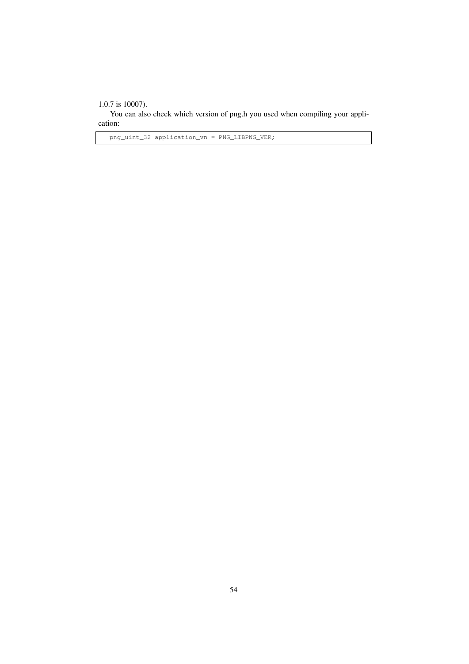1.0.7 is 10007).

You can also check which version of png.h you used when compiling your application:

png\_uint\_32 application\_vn = PNG\_LIBPNG\_VER;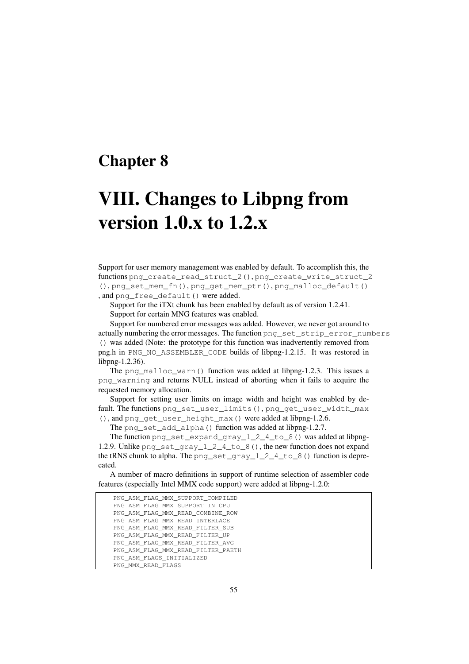# VIII. Changes to Libpng from version 1.0.x to 1.2.x

Support for user memory management was enabled by default. To accomplish this, the functions png\_create\_read\_struct\_2(), png\_create\_write\_struct\_2 (), png\_set\_mem\_fn(), png\_get\_mem\_ptr(), png\_malloc\_default() , and png\_free\_default() were added.

Support for the iTXt chunk has been enabled by default as of version 1.2.41. Support for certain MNG features was enabled.

Support for numbered error messages was added. However, we never got around to actually numbering the error messages. The function png\_set\_strip\_error\_numbers () was added (Note: the prototype for this function was inadvertently removed from png.h in PNG\_NO\_ASSEMBLER\_CODE builds of libpng-1.2.15. It was restored in libpng-1.2.36).

The png\_malloc\_warn() function was added at libpng-1.2.3. This issues a png\_warning and returns NULL instead of aborting when it fails to acquire the requested memory allocation.

Support for setting user limits on image width and height was enabled by default. The functions png\_set\_user\_limits(), png\_get\_user\_width\_max (), and png\_get\_user\_height\_max() were added at libpng-1.2.6.

The png\_set\_add\_alpha() function was added at libpng-1.2.7.

The function png\_set\_expand\_gray\_1\_2\_4\_to\_8() was added at libpng-1.2.9. Unlike png\_set\_gray\_1\_2\_4\_to\_8(), the new function does not expand the tRNS chunk to alpha. The png\_set\_gray\_ $1_2_4$ \_to\_8() function is deprecated.

A number of macro definitions in support of runtime selection of assembler code features (especially Intel MMX code support) were added at libpng-1.2.0:

```
PNG_ASM_FLAG_MMX_SUPPORT_COMPILED
PNG_ASM_FLAG_MMX_SUPPORT_IN_CPU
PNG_ASM_FLAG_MMX_READ_COMBINE_ROW
PNG_ASM_FLAG_MMX_READ_INTERLACE
PNG_ASM_FLAG_MMX_READ_FILTER_SUB
PNG_ASM_FLAG_MMX_READ_FILTER_UP
PNG_ASM_FLAG_MMX_READ_FILTER_AVG
PNG_ASM_FLAG_MMX_READ_FILTER_PAETH
PNG_ASM_FLAGS_INITIALIZED
PNG_MMX_READ_FLAGS
```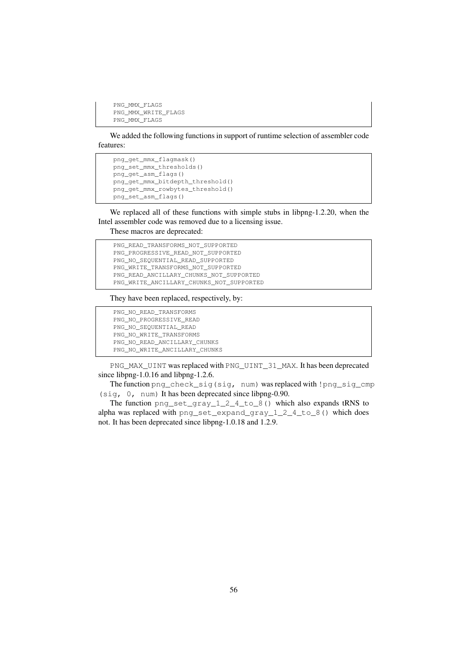```
PNG_MMX_FLAGS
PNG_MMX_WRITE_FLAGS
PNG_MMX_FLAGS
```
We added the following functions in support of runtime selection of assembler code features:

```
png_get_mmx_flagmask()
png_set_mmx_thresholds()
png_get_asm_flags()
png_get_mmx_bitdepth_threshold()
png_get_mmx_rowbytes_threshold()
png_set_asm_flags()
```
We replaced all of these functions with simple stubs in libpng-1.2.20, when the Intel assembler code was removed due to a licensing issue.

These macros are deprecated:

```
PNG_READ_TRANSFORMS_NOT_SUPPORTED
PNG_PROGRESSIVE_READ_NOT_SUPPORTED
PNG_NO_SEQUENTIAL_READ_SUPPORTED
PNG_WRITE_TRANSFORMS_NOT_SUPPORTED
PNG_READ_ANCILLARY_CHUNKS_NOT_SUPPORTED
PNG_WRITE_ANCILLARY_CHUNKS_NOT_SUPPORTED
```
They have been replaced, respectively, by:

PNG\_NO\_READ\_TRANSFORMS PNG\_NO\_PROGRESSIVE\_READ PNG\_NO\_SEQUENTIAL\_READ PNG\_NO\_WRITE\_TRANSFORMS PNG\_NO\_READ\_ANCILLARY\_CHUNKS PNG\_NO\_WRITE\_ANCILLARY\_CHUNKS

PNG\_MAX\_UINT was replaced with PNG\_UINT\_31\_MAX. It has been deprecated since libpng-1.0.16 and libpng-1.2.6.

The function png\_check\_sig(sig, num) was replaced with !png\_sig\_cmp (sig, 0, num) It has been deprecated since libpng-0.90.

The function png\_set\_gray\_1\_2\_4\_to\_8() which also expands tRNS to alpha was replaced with png\_set\_expand\_gray\_1\_2\_4\_to\_8() which does not. It has been deprecated since libpng-1.0.18 and 1.2.9.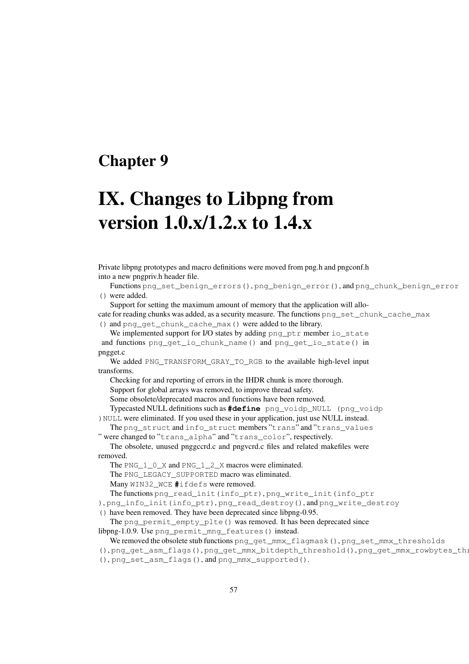# IX. Changes to Libpng from version 1.0.x/1.2.x to 1.4.x

Private libpng prototypes and macro definitions were moved from png.h and pngconf.h into a new pngpriv.h header file.

Functions png\_set\_benign\_errors(), png\_benign\_error(), and png\_chunk\_benign\_error () were added.

Support for setting the maximum amount of memory that the application will allocate for reading chunks was added, as a security measure. The functions pnq\_set\_chunk\_cache\_max

() and png\_get\_chunk\_cache\_max() were added to the library.

We implemented support for I/O states by adding png\_ptr member io\_state and functions png\_get\_io\_chunk\_name() and png\_get\_io\_state() in pngget.c

We added PNG\_TRANSFORM\_GRAY\_TO\_RGB to the available high-level input transforms.

Checking for and reporting of errors in the IHDR chunk is more thorough.

Support for global arrays was removed, to improve thread safety.

Some obsolete/deprecated macros and functions have been removed.

Typecasted NULL definitions such as **#define** png\_voidp\_NULL (png\_voidp

) NULL were eliminated. If you used these in your application, just use NULL instead. The png\_struct and info\_struct members "trans" and "trans\_values

" were changed to "trans\_alpha" and "trans\_color", respectively.

The obsolete, unused pnggccrd.c and pngvcrd.c files and related makefiles were removed.

The PNG\_1\_0\_X and PNG\_1\_2\_X macros were eliminated.

The PNG\_LEGACY\_SUPPORTED macro was eliminated.

Many WIN32\_WCE **#**ifdefs were removed.

The functions png\_read\_init(info\_ptr), png\_write\_init(info\_ptr

), png\_info\_init(info\_ptr), png\_read\_destroy(), and png\_write\_destroy

() have been removed. They have been deprecated since libpng-0.95.

The png\_permit\_empty\_plte() was removed. It has been deprecated since libpng-1.0.9. Use png\_permit\_mng\_features() instead.

We removed the obsolete stub functions png\_get\_mmx\_flagmask(), png\_set\_mmx\_thresholds

(), png\_get\_asm\_flags(), png\_get\_mmx\_bitdepth\_threshold(), png\_get\_mmx\_rowbytes\_th:

(), png\_set\_asm\_flags(), and png\_mmx\_supported().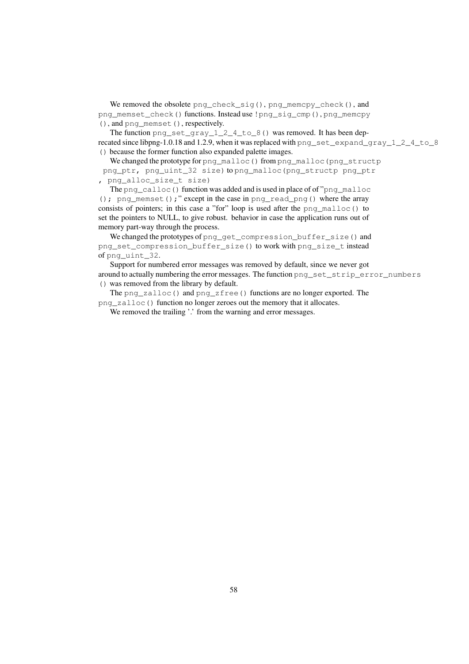We removed the obsolete png\_check\_sig(), png\_memcpy\_check(), and png\_memset\_check() functions. Instead use !png\_sig\_cmp(), png\_memcpy (), and png\_memset(), respectively.

The function png\_set\_gray\_1\_2\_4\_to\_8() was removed. It has been deprecated since libpng-1.0.18 and 1.2.9, when it was replaced with  $p \nvert q$  set\_expand\_gray\_1\_2\_4\_to\_8 () because the former function also expanded palette images.

We changed the prototype for png\_malloc() from png\_malloc(png\_structp png\_ptr, png\_uint\_32 size) to png\_malloc(png\_structp png\_ptr , png\_alloc\_size\_t size)

The png\_calloc() function was added and is used in place of of "png\_malloc (); png\_memset();" except in the case in png\_read\_png() where the array consists of pointers; in this case a "for" loop is used after the png\_malloc() to set the pointers to NULL, to give robust. behavior in case the application runs out of memory part-way through the process.

We changed the prototypes of png\_qet\_compression\_buffer\_size() and png\_set\_compression\_buffer\_size() to work with png\_size\_t instead of png\_uint\_32.

Support for numbered error messages was removed by default, since we never got around to actually numbering the error messages. The function png\_set\_strip\_error\_numbers () was removed from the library by default.

The png\_zalloc() and png\_zfree() functions are no longer exported. The png\_zalloc() function no longer zeroes out the memory that it allocates.

We removed the trailing '.' from the warning and error messages.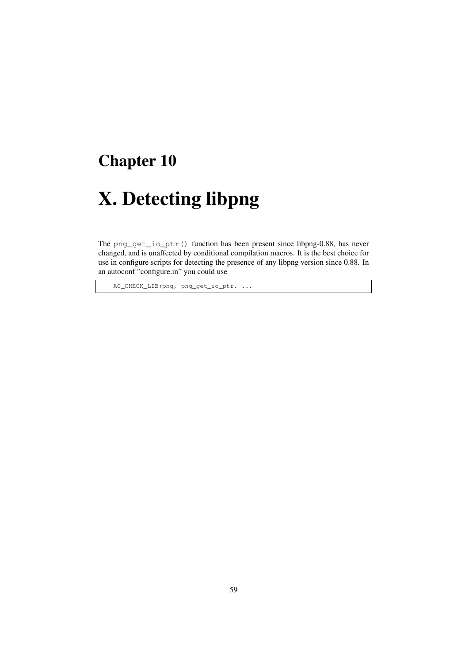## X. Detecting libpng

The png\_get\_io\_ptr() function has been present since libpng-0.88, has never changed, and is unaffected by conditional compilation macros. It is the best choice for use in configure scripts for detecting the presence of any libpng version since 0.88. In an autoconf "configure.in" you could use

AC\_CHECK\_LIB(png, png\_get\_io\_ptr, ...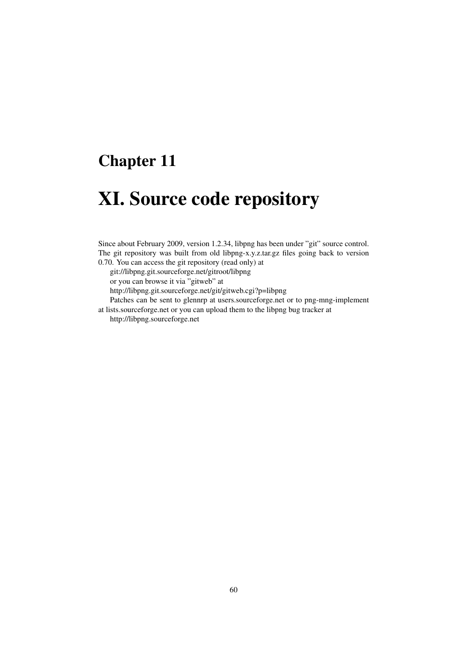## XI. Source code repository

Since about February 2009, version 1.2.34, libpng has been under "git" source control. The git repository was built from old libpng-x.y.z.tar.gz files going back to version 0.70. You can access the git repository (read only) at

git://libpng.git.sourceforge.net/gitroot/libpng

or you can browse it via "gitweb" at

http://libpng.git.sourceforge.net/git/gitweb.cgi?p=libpng

Patches can be sent to glennrp at users.sourceforge.net or to png-mng-implement

at lists.sourceforge.net or you can upload them to the libpng bug tracker at http://libpng.sourceforge.net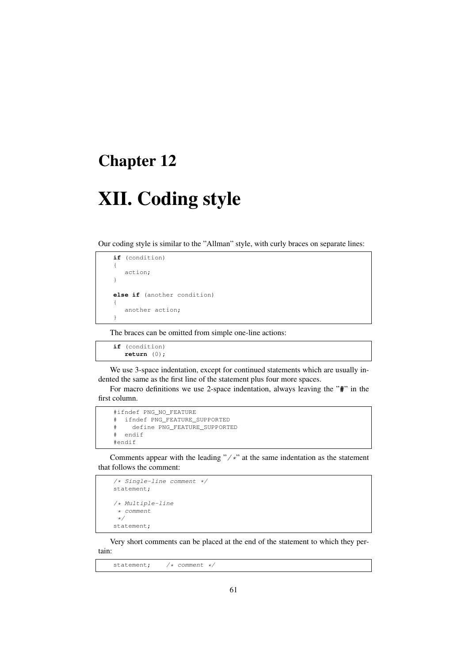## XII. Coding style

Our coding style is similar to the "Allman" style, with curly braces on separate lines:

```
if (condition)
{
   action;
}
else if (another condition)
{
   another action;
}
```
The braces can be omitted from simple one-line actions:

**if** (condition) **return** (0);

We use 3-space indentation, except for continued statements which are usually indented the same as the first line of the statement plus four more spaces.

For macro definitions we use 2-space indentation, always leaving the "**#**" in the first column.

```
#ifndef PNG_NO_FEATURE
# ifndef PNG_FEATURE_SUPPORTED
# define PNG_FEATURE_SUPPORTED
  endif
#endif
```
Comments appear with the leading "*/\**" at the same indentation as the statement that follows the comment:

```
/* Single-line comment */
statement;
/* Multiple-line
 * comment
 */
statement;
```
Very short comments can be placed at the end of the statement to which they pertain:

```
statement; /* comment */
```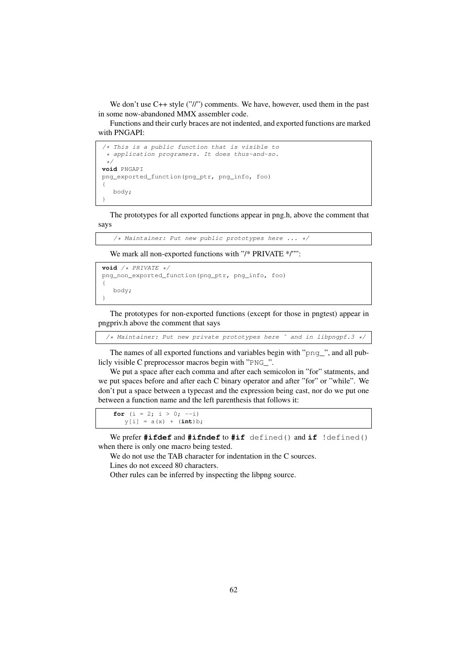We don't use C++ style ("//") comments. We have, however, used them in the past in some now-abandoned MMX assembler code.

Functions and their curly braces are not indented, and exported functions are marked with PNGAPI:

```
/* This is a public function that is visible to
  * application programers. It does thus-and-so.
 */
void PNGAPI
png_exported_function(png_ptr, png_info, foo)
{
   body;
}
```
The prototypes for all exported functions appear in png.h, above the comment that says

*/\* Maintainer: Put new public prototypes here ... \*/*

We mark all non-exported functions with "/\* PRIVATE \*/"":

```
void /* PRIVATE */
png_non_exported_function(png_ptr, png_info, foo)
{
   body;
}
```
The prototypes for non-exported functions (except for those in pngtest) appear in pngpriv.h above the comment that says

*/\* Maintainer: Put new private prototypes here ˆ and in libpngpf.3 \*/*

The names of all exported functions and variables begin with "png\_", and all publicly visible C preprocessor macros begin with "PNG\_".

We put a space after each comma and after each semicolon in "for" statments, and we put spaces before and after each C binary operator and after "for" or "while". We don't put a space between a typecast and the expression being cast, nor do we put one between a function name and the left parenthesis that follows it:

```
for (i = 2; i > 0; -i)y[i] = a(x) + (int)b;
```
We prefer **#ifdef** and **#ifndef** to **#if** defined() and **if** !defined() when there is only one macro being tested.

We do not use the TAB character for indentation in the C sources. Lines do not exceed 80 characters.

Other rules can be inferred by inspecting the libpng source.